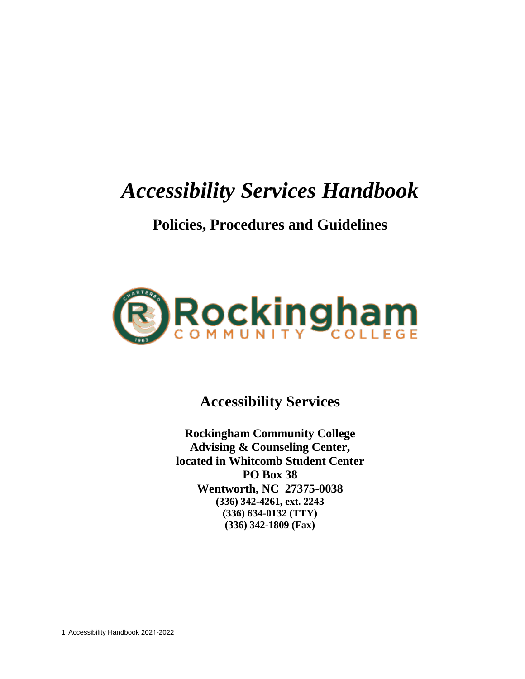# *Accessibility Services Handbook*

# **Policies, Procedures and Guidelines**



**Accessibility Services**

**Rockingham Community College Advising & Counseling Center, located in Whitcomb Student Center PO Box 38 Wentworth, NC 27375-0038 (336) 342-4261, ext. 2243 (336) 634-0132 (TTY) (336) 342-1809 (Fax)**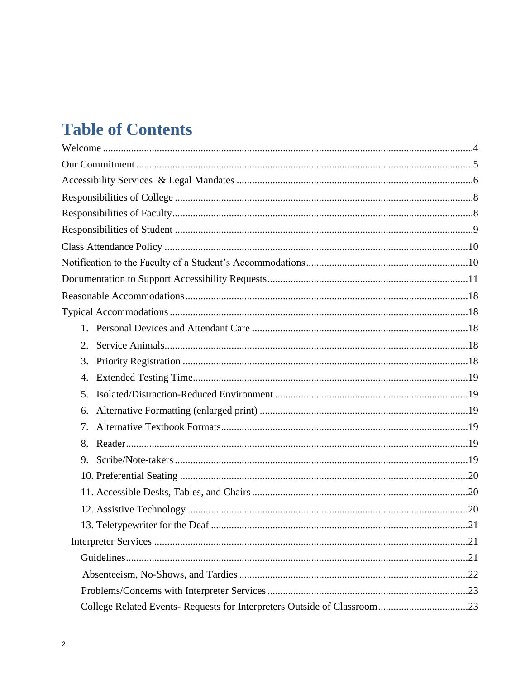# **Table of Contents**

| 2. |    |
|----|----|
| 3. |    |
| 4. |    |
| 5. |    |
| 6. |    |
| 7. |    |
| 8. |    |
| 9. |    |
|    |    |
|    |    |
|    |    |
|    | 21 |
|    |    |
|    |    |
|    |    |
|    |    |
|    |    |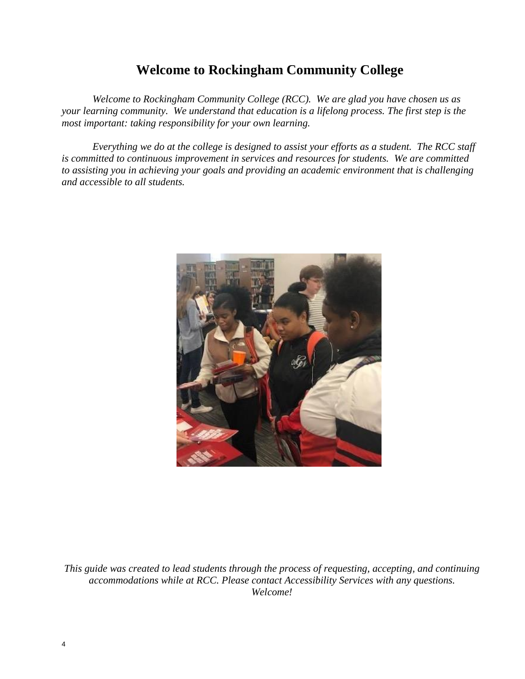# **Welcome to Rockingham Community College**

*Welcome to Rockingham Community College (RCC). We are glad you have chosen us as your learning community. We understand that education is a lifelong process. The first step is the most important: taking responsibility for your own learning.*

*Everything we do at the college is designed to assist your efforts as a student. The RCC staff is committed to continuous improvement in services and resources for students. We are committed to assisting you in achieving your goals and providing an academic environment that is challenging and accessible to all students.*



*This guide was created to lead students through the process of requesting, accepting, and continuing accommodations while at RCC. Please contact Accessibility Services with any questions. Welcome!*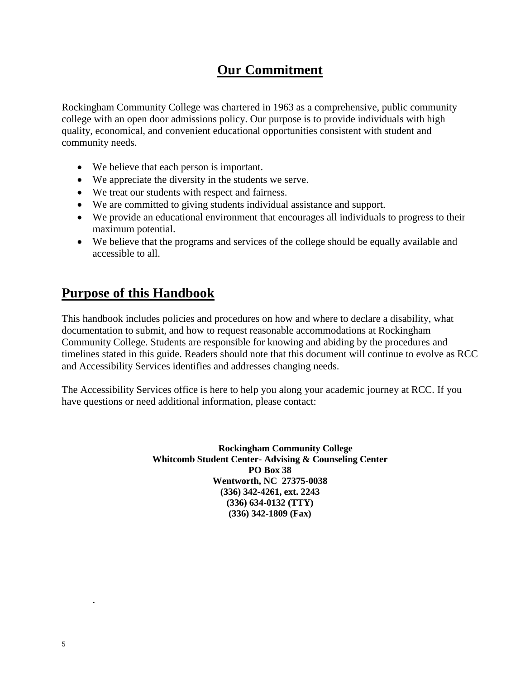# **Our Commitment**

Rockingham Community College was chartered in 1963 as a comprehensive, public community college with an open door admissions policy. Our purpose is to provide individuals with high quality, economical, and convenient educational opportunities consistent with student and community needs.

- We believe that each person is important.
- We appreciate the diversity in the students we serve.
- We treat our students with respect and fairness.
- We are committed to giving students individual assistance and support.
- We provide an educational environment that encourages all individuals to progress to their maximum potential.
- We believe that the programs and services of the college should be equally available and accessible to all.

# **Purpose of this Handbook**

This handbook includes policies and procedures on how and where to declare a disability, what documentation to submit, and how to request reasonable accommodations at Rockingham Community College. Students are responsible for knowing and abiding by the procedures and timelines stated in this guide. Readers should note that this document will continue to evolve as RCC and Accessibility Services identifies and addresses changing needs.

The Accessibility Services office is here to help you along your academic journey at RCC. If you have questions or need additional information, please contact:

> **Rockingham Community College Whitcomb Student Center- Advising & Counseling Center PO Box 38 Wentworth, NC 27375-0038 (336) 342-4261, ext. 2243 (336) 634-0132 (TTY) (336) 342-1809 (Fax)**

.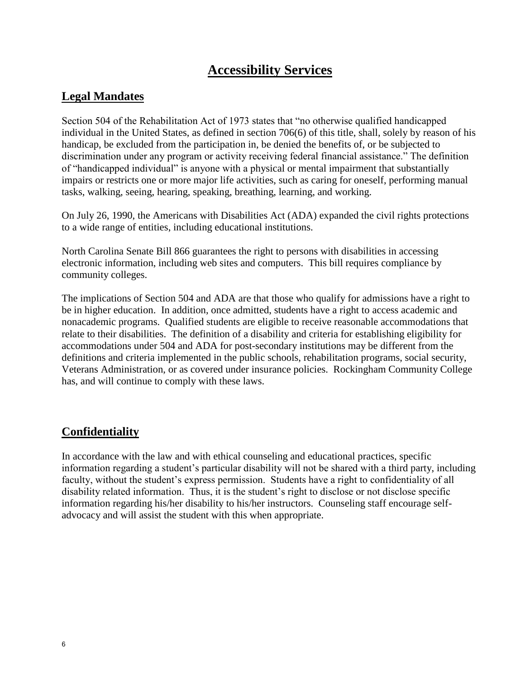# **Accessibility Services**

# **Legal Mandates**

Section 504 of the Rehabilitation Act of 1973 states that "no otherwise qualified handicapped individual in the United States, as defined in section 706(6) of this title, shall, solely by reason of his handicap, be excluded from the participation in, be denied the benefits of, or be subjected to discrimination under any program or activity receiving federal financial assistance." The definition of "handicapped individual" is anyone with a physical or mental impairment that substantially impairs or restricts one or more major life activities, such as caring for oneself, performing manual tasks, walking, seeing, hearing, speaking, breathing, learning, and working.

On July 26, 1990, the Americans with Disabilities Act (ADA) expanded the civil rights protections to a wide range of entities, including educational institutions.

North Carolina Senate Bill 866 guarantees the right to persons with disabilities in accessing electronic information, including web sites and computers. This bill requires compliance by community colleges.

The implications of Section 504 and ADA are that those who qualify for admissions have a right to be in higher education. In addition, once admitted, students have a right to access academic and nonacademic programs. Qualified students are eligible to receive reasonable accommodations that relate to their disabilities. The definition of a disability and criteria for establishing eligibility for accommodations under 504 and ADA for post-secondary institutions may be different from the definitions and criteria implemented in the public schools, rehabilitation programs, social security, Veterans Administration, or as covered under insurance policies. Rockingham Community College has, and will continue to comply with these laws.

# **Confidentiality**

In accordance with the law and with ethical counseling and educational practices, specific information regarding a student's particular disability will not be shared with a third party, including faculty, without the student's express permission. Students have a right to confidentiality of all disability related information. Thus, it is the student's right to disclose or not disclose specific information regarding his/her disability to his/her instructors. Counseling staff encourage selfadvocacy and will assist the student with this when appropriate.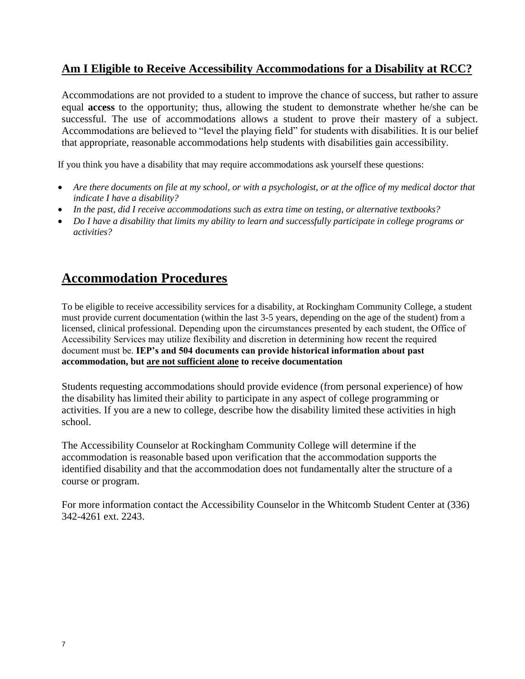# **Am I Eligible to Receive Accessibility Accommodations for a Disability at RCC?**

Accommodations are not provided to a student to improve the chance of success, but rather to assure equal **access** to the opportunity; thus, allowing the student to demonstrate whether he/she can be successful. The use of accommodations allows a student to prove their mastery of a subject. Accommodations are believed to "level the playing field" for students with disabilities. It is our belief that appropriate, reasonable accommodations help students with disabilities gain accessibility.

If you think you have a disability that may require accommodations ask yourself these questions:

- *Are there documents on file at my school, or with a psychologist, or at the office of my medical doctor that indicate I have a disability?*
- *In the past, did I receive accommodations such as extra time on testing, or alternative textbooks?*
- *Do I have a disability that limits my ability to learn and successfully participate in college programs or activities?*

# **Accommodation Procedures**

To be eligible to receive accessibility services for a disability, at Rockingham Community College, a student must provide current documentation (within the last 3-5 years, depending on the age of the student) from a licensed, clinical professional. Depending upon the circumstances presented by each student, the Office of Accessibility Services may utilize flexibility and discretion in determining how recent the required document must be. **IEP's and 504 documents can provide historical information about past accommodation, but are not sufficient alone to receive documentation**

Students requesting accommodations should provide evidence (from personal experience) of how the disability has limited their ability to participate in any aspect of college programming or activities. If you are a new to college, describe how the disability limited these activities in high school.

The Accessibility Counselor at Rockingham Community College will determine if the accommodation is reasonable based upon verification that the accommodation supports the identified disability and that the accommodation does not fundamentally alter the structure of a course or program.

For more information contact the Accessibility Counselor in the Whitcomb Student Center at (336) 342-4261 ext. 2243.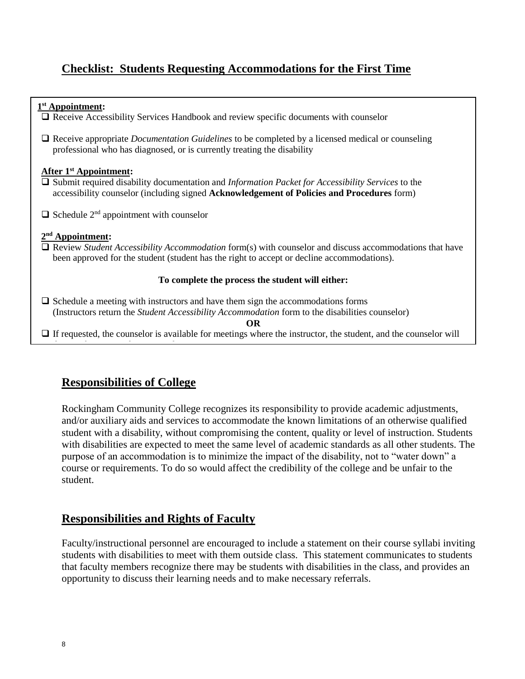# **Checklist: Students Requesting Accommodations for the First Time**

| $1st$ Appointment:<br>$\Box$ Receive Accessibility Services Handbook and review specific documents with counselor                                                                                                                         |  |  |  |
|-------------------------------------------------------------------------------------------------------------------------------------------------------------------------------------------------------------------------------------------|--|--|--|
| $\Box$ Receive appropriate <i>Documentation Guidelines</i> to be completed by a licensed medical or counseling<br>professional who has diagnosed, or is currently treating the disability                                                 |  |  |  |
| After $1st$ Appointment:<br>$\Box$ Submit required disability documentation and <i>Information Packet for Accessibility Services</i> to the<br>accessibility counselor (including signed Acknowledgement of Policies and Procedures form) |  |  |  |
| $\Box$ Schedule 2 <sup>nd</sup> appointment with counselor                                                                                                                                                                                |  |  |  |
| $2nd$ Appointment:<br>$\Box$ Review <i>Student Accessibility Accommodation</i> form(s) with counselor and discuss accommodations that have<br>been approved for the student (student has the right to accept or decline accommodations).  |  |  |  |
| To complete the process the student will either:                                                                                                                                                                                          |  |  |  |
| $\Box$ Schedule a meeting with instructors and have them sign the accommodations forms<br>(Instructors return the <i>Student Accessibility Accommodation</i> form to the disabilities counselor)<br><b>OR</b>                             |  |  |  |
| $\Box$ If requested, the counselor is available for meetings where the instructor, the student, and the counselor will                                                                                                                    |  |  |  |

# **Responsibilities of College**

Rockingham Community College recognizes its responsibility to provide academic adjustments, and/or auxiliary aids and services to accommodate the known limitations of an otherwise qualified student with a disability, without compromising the content, quality or level of instruction. Students with disabilities are expected to meet the same level of academic standards as all other students. The purpose of an accommodation is to minimize the impact of the disability, not to "water down" a course or requirements. To do so would affect the credibility of the college and be unfair to the student.

# **Responsibilities and Rights of Faculty**

Faculty/instructional personnel are encouraged to include a statement on their course syllabi inviting students with disabilities to meet with them outside class. This statement communicates to students that faculty members recognize there may be students with disabilities in the class, and provides an opportunity to discuss their learning needs and to make necessary referrals.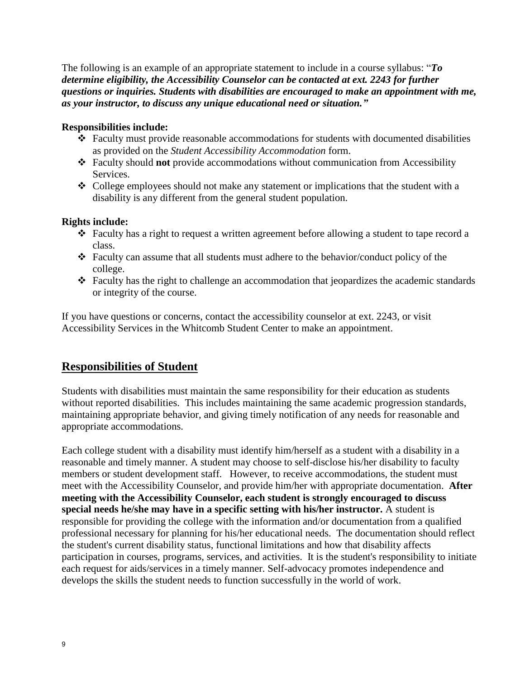The following is an example of an appropriate statement to include in a course syllabus: "*To determine eligibility, the Accessibility Counselor can be contacted at ext. 2243 for further questions or inquiries. Students with disabilities are encouraged to make an appointment with me, as your instructor, to discuss any unique educational need or situation."*

#### **Responsibilities include:**

- $\triangle$  Faculty must provide reasonable accommodations for students with documented disabilities as provided on the *Student Accessibility Accommodation* form.
- Faculty should **not** provide accommodations without communication from Accessibility Services.
- College employees should not make any statement or implications that the student with a disability is any different from the general student population.

#### **Rights include:**

- $\div$  Faculty has a right to request a written agreement before allowing a student to tape record a class.
- $\div$  Faculty can assume that all students must adhere to the behavior/conduct policy of the college.
- Faculty has the right to challenge an accommodation that jeopardizes the academic standards or integrity of the course.

If you have questions or concerns, contact the accessibility counselor at ext. 2243, or visit Accessibility Services in the Whitcomb Student Center to make an appointment.

#### **Responsibilities of Student**

Students with disabilities must maintain the same responsibility for their education as students without reported disabilities. This includes maintaining the same academic progression standards, maintaining appropriate behavior, and giving timely notification of any needs for reasonable and appropriate accommodations.

Each college student with a disability must identify him/herself as a student with a disability in a reasonable and timely manner. A student may choose to self-disclose his/her disability to faculty members or student development staff. However, to receive accommodations, the student must meet with the Accessibility Counselor, and provide him/her with appropriate documentation. **After meeting with the Accessibility Counselor, each student is strongly encouraged to discuss special needs he/she may have in a specific setting with his/her instructor.** A student is responsible for providing the college with the information and/or documentation from a qualified professional necessary for planning for his/her educational needs. The documentation should reflect the student's current disability status, functional limitations and how that disability affects participation in courses, programs, services, and activities. It is the student's responsibility to initiate each request for aids/services in a timely manner. Self-advocacy promotes independence and develops the skills the student needs to function successfully in the world of work.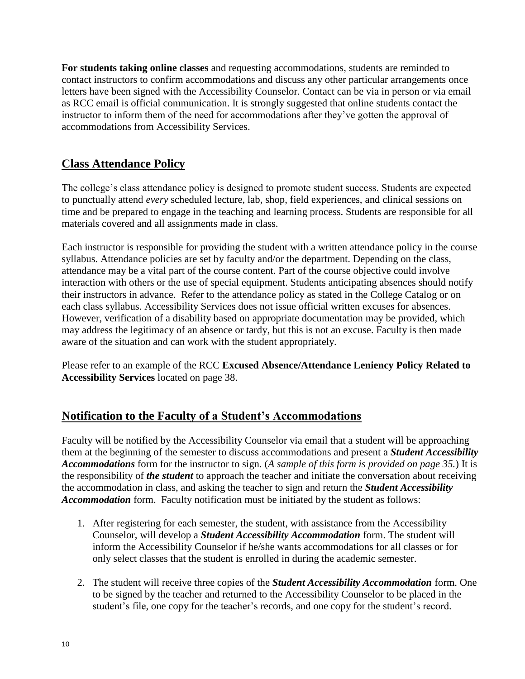**For students taking online classes** and requesting accommodations, students are reminded to contact instructors to confirm accommodations and discuss any other particular arrangements once letters have been signed with the Accessibility Counselor. Contact can be via in person or via email as RCC email is official communication. It is strongly suggested that online students contact the instructor to inform them of the need for accommodations after they've gotten the approval of accommodations from Accessibility Services.

# **Class Attendance Policy**

The college's class attendance policy is designed to promote student success. Students are expected to punctually attend *every* scheduled lecture, lab, shop, field experiences, and clinical sessions on time and be prepared to engage in the teaching and learning process. Students are responsible for all materials covered and all assignments made in class.

Each instructor is responsible for providing the student with a written attendance policy in the course syllabus. Attendance policies are set by faculty and/or the department. Depending on the class, attendance may be a vital part of the course content. Part of the course objective could involve interaction with others or the use of special equipment. Students anticipating absences should notify their instructors in advance. Refer to the attendance policy as stated in the College Catalog or on each class syllabus. Accessibility Services does not issue official written excuses for absences. However, verification of a disability based on appropriate documentation may be provided, which may address the legitimacy of an absence or tardy, but this is not an excuse. Faculty is then made aware of the situation and can work with the student appropriately.

Please refer to an example of the RCC **Excused Absence/Attendance Leniency Policy Related to Accessibility Services** located on page 38.

# **Notification to the Faculty of a Student's Accommodations**

Faculty will be notified by the Accessibility Counselor via email that a student will be approaching them at the beginning of the semester to discuss accommodations and present a *Student Accessibility Accommodations* form for the instructor to sign. (*A sample of this form is provided on page 35.*) It is the responsibility of *the student* to approach the teacher and initiate the conversation about receiving the accommodation in class, and asking the teacher to sign and return the *Student Accessibility Accommodation* form. Faculty notification must be initiated by the student as follows:

- 1. After registering for each semester, the student, with assistance from the Accessibility Counselor, will develop a *Student Accessibility Accommodation* form. The student will inform the Accessibility Counselor if he/she wants accommodations for all classes or for only select classes that the student is enrolled in during the academic semester.
- 2. The student will receive three copies of the *Student Accessibility Accommodation* form. One to be signed by the teacher and returned to the Accessibility Counselor to be placed in the student's file, one copy for the teacher's records, and one copy for the student's record.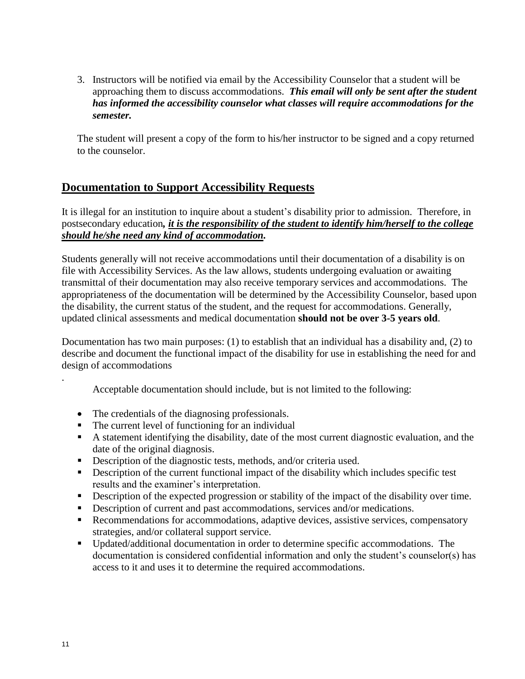3. Instructors will be notified via email by the Accessibility Counselor that a student will be approaching them to discuss accommodations. *This email will only be sent after the student has informed the accessibility counselor what classes will require accommodations for the semester.*

The student will present a copy of the form to his/her instructor to be signed and a copy returned to the counselor.

# **Documentation to Support Accessibility Requests**

It is illegal for an institution to inquire about a student's disability prior to admission. Therefore, in postsecondary education*, it is the responsibility of the student to identify him/herself to the college should he/she need any kind of accommodation.*

Students generally will not receive accommodations until their documentation of a disability is on file with Accessibility Services. As the law allows, students undergoing evaluation or awaiting transmittal of their documentation may also receive temporary services and accommodations. The appropriateness of the documentation will be determined by the Accessibility Counselor, based upon the disability, the current status of the student, and the request for accommodations. Generally, updated clinical assessments and medical documentation **should not be over 3-5 years old**.

Documentation has two main purposes: (1) to establish that an individual has a disability and, (2) to describe and document the functional impact of the disability for use in establishing the need for and design of accommodations

Acceptable documentation should include, but is not limited to the following:

- The credentials of the diagnosing professionals.
- The current level of functioning for an individual
- A statement identifying the disability, date of the most current diagnostic evaluation, and the date of the original diagnosis.
- Description of the diagnostic tests, methods, and/or criteria used.
- Description of the current functional impact of the disability which includes specific test results and the examiner's interpretation.
- Description of the expected progression or stability of the impact of the disability over time.
- Description of current and past accommodations, services and/or medications.
- Recommendations for accommodations, adaptive devices, assistive services, compensatory strategies, and/or collateral support service.
- Updated/additional documentation in order to determine specific accommodations. The documentation is considered confidential information and only the student's counselor(s) has access to it and uses it to determine the required accommodations.

.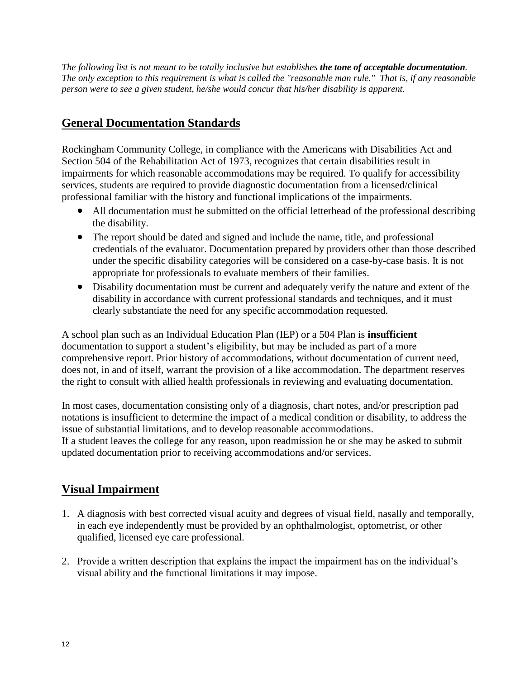*The following list is not meant to be totally inclusive but establishes the tone of acceptable documentation. The only exception to this requirement is what is called the "reasonable man rule." That is, if any reasonable person were to see a given student, he/she would concur that his/her disability is apparent.*

# **General Documentation Standards**

Rockingham Community College, in compliance with the Americans with Disabilities Act and Section 504 of the Rehabilitation Act of 1973, recognizes that certain disabilities result in impairments for which reasonable accommodations may be required. To qualify for accessibility services, students are required to provide diagnostic documentation from a licensed/clinical professional familiar with the history and functional implications of the impairments.

- All documentation must be submitted on the official letterhead of the professional describing the disability.
- The report should be dated and signed and include the name, title, and professional credentials of the evaluator. Documentation prepared by providers other than those described under the specific disability categories will be considered on a case-by-case basis. It is not appropriate for professionals to evaluate members of their families.
- Disability documentation must be current and adequately verify the nature and extent of the disability in accordance with current professional standards and techniques, and it must clearly substantiate the need for any specific accommodation requested.

A school plan such as an Individual Education Plan (IEP) or a 504 Plan is **insufficient**  documentation to support a student's eligibility, but may be included as part of a more comprehensive report. Prior history of accommodations, without documentation of current need, does not, in and of itself, warrant the provision of a like accommodation. The department reserves the right to consult with allied health professionals in reviewing and evaluating documentation.

In most cases, documentation consisting only of a diagnosis, chart notes, and/or prescription pad notations is insufficient to determine the impact of a medical condition or disability, to address the issue of substantial limitations, and to develop reasonable accommodations. If a student leaves the college for any reason, upon readmission he or she may be asked to submit updated documentation prior to receiving accommodations and/or services.

# **Visual Impairment**

- 1. A diagnosis with best corrected visual acuity and degrees of visual field, nasally and temporally, in each eye independently must be provided by an ophthalmologist, optometrist, or other qualified, licensed eye care professional.
- 2. Provide a written description that explains the impact the impairment has on the individual's visual ability and the functional limitations it may impose.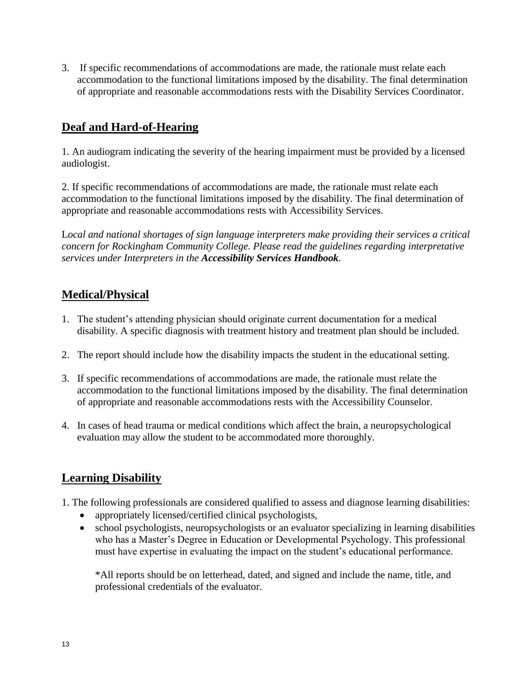3. If specific recommendations of accommodations are made, the rationale must relate each accommodation to the functional limitations imposed by the disability. The final determination of appropriate and reasonable accommodations rests with the Disability Services Coordinator.

# **Deaf and Hard-of-Hearing**

1. An audiogram indicating the severity of the hearing impairment must be provided by a licensed audiologist.

2. If specific recommendations of accommodations are made, the rationale must relate each accommodation to the functional limitations imposed by the disability. The final determination of appropriate and reasonable accommodations rests with Accessibility Services.

L*ocal and national shortages of sign language interpreters make providing their services a critical concern for Rockingham Community College. Please read the guidelines regarding interpretative services under Interpreters in the Accessibility Services Handbook.* 

# **Medical/Physical**

- 1. The student's attending physician should originate current documentation for a medical disability. A specific diagnosis with treatment history and treatment plan should be included.
- 2. The report should include how the disability impacts the student in the educational setting.
- 3. If specific recommendations of accommodations are made, the rationale must relate the accommodation to the functional limitations imposed by the disability. The final determination of appropriate and reasonable accommodations rests with the Accessibility Counselor.
- 4. In cases of head trauma or medical conditions which affect the brain, a neuropsychological evaluation may allow the student to be accommodated more thoroughly.

# **Learning Disability**

- 1. The following professionals are considered qualified to assess and diagnose learning disabilities:
	- appropriately licensed/certified clinical psychologists,
	- school psychologists, neuropsychologists or an evaluator specializing in learning disabilities who has a Master's Degree in Education or Developmental Psychology. This professional must have expertise in evaluating the impact on the student's educational performance.

\*All reports should be on letterhead, dated, and signed and include the name, title, and professional credentials of the evaluator.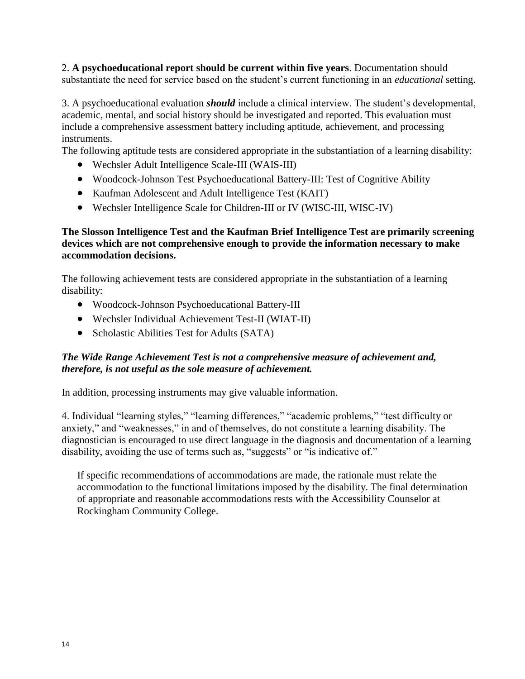2. **A psychoeducational report should be current within five years**. Documentation should substantiate the need for service based on the student's current functioning in an *educational* setting.

3. A psychoeducational evaluation *should* include a clinical interview. The student's developmental, academic, mental, and social history should be investigated and reported. This evaluation must include a comprehensive assessment battery including aptitude, achievement, and processing instruments.

The following aptitude tests are considered appropriate in the substantiation of a learning disability:

- Wechsler Adult Intelligence Scale-III (WAIS-III)
- Woodcock-Johnson Test Psychoeducational Battery-III: Test of Cognitive Ability
- Kaufman Adolescent and Adult Intelligence Test (KAIT)
- Wechsler Intelligence Scale for Children-III or IV (WISC-III, WISC-IV)

#### **The Slosson Intelligence Test and the Kaufman Brief Intelligence Test are primarily screening devices which are not comprehensive enough to provide the information necessary to make accommodation decisions.**

The following achievement tests are considered appropriate in the substantiation of a learning disability:

- Woodcock-Johnson Psychoeducational Battery-III
- Wechsler Individual Achievement Test-II (WIAT-II)
- Scholastic Abilities Test for Adults (SATA)

#### *The Wide Range Achievement Test is not a comprehensive measure of achievement and, therefore, is not useful as the sole measure of achievement.*

In addition, processing instruments may give valuable information.

4. Individual "learning styles," "learning differences," "academic problems," "test difficulty or anxiety," and "weaknesses," in and of themselves, do not constitute a learning disability. The diagnostician is encouraged to use direct language in the diagnosis and documentation of a learning disability, avoiding the use of terms such as, "suggests" or "is indicative of."

If specific recommendations of accommodations are made, the rationale must relate the accommodation to the functional limitations imposed by the disability. The final determination of appropriate and reasonable accommodations rests with the Accessibility Counselor at Rockingham Community College.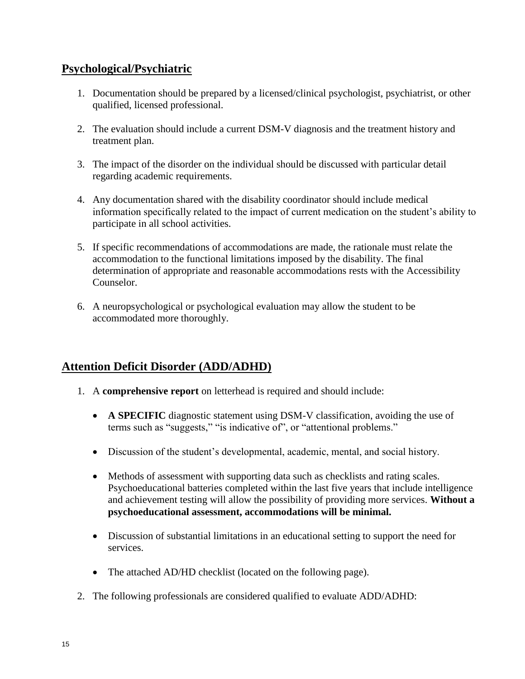#### **Psychological/Psychiatric**

- 1. Documentation should be prepared by a licensed/clinical psychologist, psychiatrist, or other qualified, licensed professional.
- 2. The evaluation should include a current DSM-V diagnosis and the treatment history and treatment plan.
- 3. The impact of the disorder on the individual should be discussed with particular detail regarding academic requirements.
- 4. Any documentation shared with the disability coordinator should include medical information specifically related to the impact of current medication on the student's ability to participate in all school activities.
- 5. If specific recommendations of accommodations are made, the rationale must relate the accommodation to the functional limitations imposed by the disability. The final determination of appropriate and reasonable accommodations rests with the Accessibility Counselor.
- 6. A neuropsychological or psychological evaluation may allow the student to be accommodated more thoroughly.

# **Attention Deficit Disorder (ADD/ADHD)**

- 1. A **comprehensive report** on letterhead is required and should include:
	- **A SPECIFIC** diagnostic statement using DSM-V classification, avoiding the use of terms such as "suggests," "is indicative of", or "attentional problems."
	- Discussion of the student's developmental, academic, mental, and social history.
	- Methods of assessment with supporting data such as checklists and rating scales. Psychoeducational batteries completed within the last five years that include intelligence and achievement testing will allow the possibility of providing more services. **Without a psychoeducational assessment, accommodations will be minimal.**
	- Discussion of substantial limitations in an educational setting to support the need for services.
	- The attached AD/HD checklist (located on the following page).
- 2. The following professionals are considered qualified to evaluate ADD/ADHD: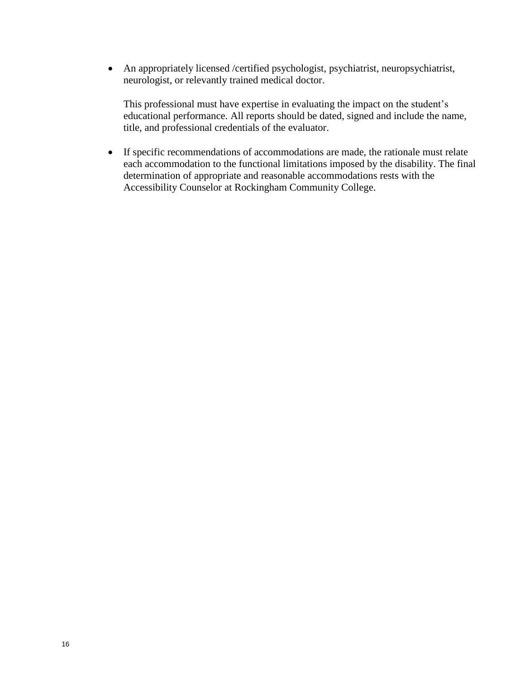An appropriately licensed /certified psychologist, psychiatrist, neuropsychiatrist, neurologist, or relevantly trained medical doctor.

This professional must have expertise in evaluating the impact on the student's educational performance. All reports should be dated, signed and include the name, title, and professional credentials of the evaluator.

 If specific recommendations of accommodations are made, the rationale must relate each accommodation to the functional limitations imposed by the disability. The final determination of appropriate and reasonable accommodations rests with the Accessibility Counselor at Rockingham Community College.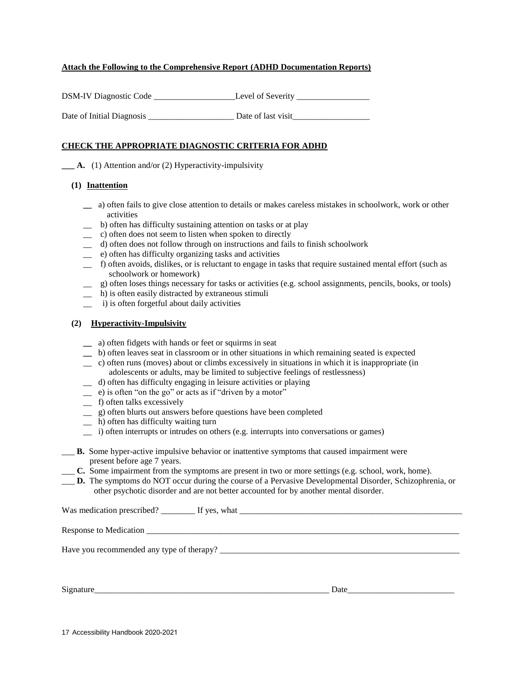#### **Attach the Following to the Comprehensive Report (ADHD Documentation Reports)**

| <b>DSM-IV Diagnostic Code</b> | Level of Severity  |
|-------------------------------|--------------------|
| Date of Initial Diagnosis     | Date of last visit |

#### **CHECK THE APPROPRIATE DIAGNOSTIC CRITERIA FOR ADHD**

**\_\_\_ A.** (1) Attention and/or (2) Hyperactivity-impulsivity

#### **(1) Inattention**

- **\_\_** a) often fails to give close attention to details or makes careless mistakes in schoolwork, work or other activities
- \_\_ b) often has difficulty sustaining attention on tasks or at play
- \_\_ c) often does not seem to listen when spoken to directly
- \_\_ d) often does not follow through on instructions and fails to finish schoolwork
- \_\_ e) often has difficulty organizing tasks and activities
- \_\_ f) often avoids, dislikes, or is reluctant to engage in tasks that require sustained mental effort (such as schoolwork or homework)
- \_\_ g) often loses things necessary for tasks or activities (e.g. school assignments, pencils, books, or tools)
- \_\_ h) is often easily distracted by extraneous stimuli
- \_\_ i) is often forgetful about daily activities

#### **(2) Hyperactivity-Impulsivity**

- **\_\_** a) often fidgets with hands or feet or squirms in seat
- **\_\_** b) often leaves seat in classroom or in other situations in which remaining seated is expected
- \_\_ c) often runs (moves) about or climbs excessively in situations in which it is inappropriate (in adolescents or adults, may be limited to subjective feelings of restlessness)
- \_\_ d) often has difficulty engaging in leisure activities or playing
- $\equiv$  e) is often "on the go" or acts as if "driven by a motor"
- \_\_ f) often talks excessively
- \_\_ g) often blurts out answers before questions have been completed
- $\Box$  h) often has difficulty waiting turn
- \_\_ i) often interrupts or intrudes on others (e.g. interrupts into conversations or games)
- \_\_\_ **B.** Some hyper-active impulsive behavior or inattentive symptoms that caused impairment were present before age 7 years.
- \_\_\_ **C.** Some impairment from the symptoms are present in two or more settings (e.g. school, work, home).
- \_\_\_ **D.** The symptoms do NOT occur during the course of a Pervasive Developmental Disorder, Schizophrenia, or other psychotic disorder and are not better accounted for by another mental disorder.

| Response to Medication                    |  |
|-------------------------------------------|--|
| Have you recommended any type of therapy? |  |

Signature\_\_\_\_\_\_\_\_\_\_\_\_\_\_\_\_\_\_\_\_\_\_\_\_\_\_\_\_\_\_\_\_\_\_\_\_\_\_\_\_\_\_\_\_\_\_\_\_\_\_\_\_\_\_\_ Date\_\_\_\_\_\_\_\_\_\_\_\_\_\_\_\_\_\_\_\_\_\_\_\_\_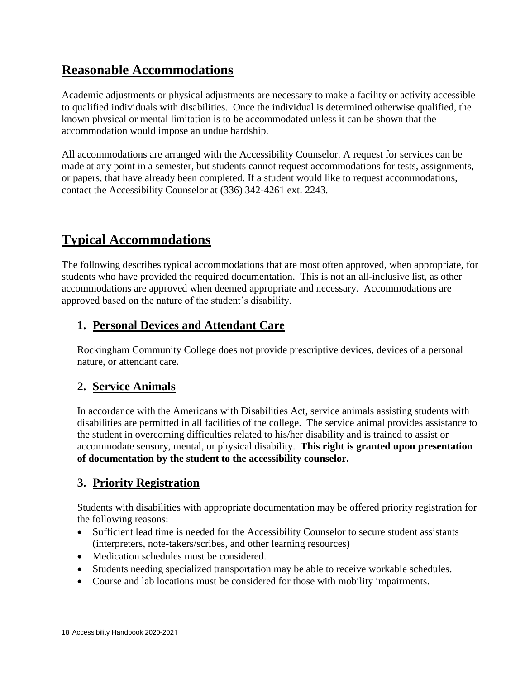# **Reasonable Accommodations**

Academic adjustments or physical adjustments are necessary to make a facility or activity accessible to qualified individuals with disabilities. Once the individual is determined otherwise qualified, the known physical or mental limitation is to be accommodated unless it can be shown that the accommodation would impose an undue hardship.

All accommodations are arranged with the Accessibility Counselor. A request for services can be made at any point in a semester, but students cannot request accommodations for tests, assignments, or papers, that have already been completed. If a student would like to request accommodations, contact the Accessibility Counselor at (336) 342-4261 ext. 2243.

# **Typical Accommodations**

The following describes typical accommodations that are most often approved, when appropriate, for students who have provided the required documentation. This is not an all-inclusive list, as other accommodations are approved when deemed appropriate and necessary. Accommodations are approved based on the nature of the student's disability.

# **1. Personal Devices and Attendant Care**

Rockingham Community College does not provide prescriptive devices, devices of a personal nature, or attendant care.

# **2. Service Animals**

In accordance with the Americans with Disabilities Act, service animals assisting students with disabilities are permitted in all facilities of the college. The service animal provides assistance to the student in overcoming difficulties related to his/her disability and is trained to assist or accommodate sensory, mental, or physical disability. **This right is granted upon presentation of documentation by the student to the accessibility counselor.**

# **3. Priority Registration**

Students with disabilities with appropriate documentation may be offered priority registration for the following reasons:

- Sufficient lead time is needed for the Accessibility Counselor to secure student assistants (interpreters, note-takers/scribes, and other learning resources)
- Medication schedules must be considered.
- Students needing specialized transportation may be able to receive workable schedules.
- Course and lab locations must be considered for those with mobility impairments.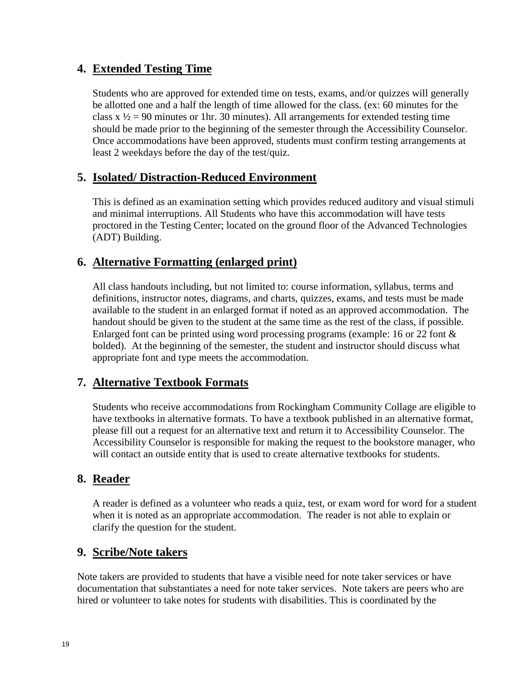# **4. Extended Testing Time**

Students who are approved for extended time on tests, exams, and/or quizzes will generally be allotted one and a half the length of time allowed for the class. (ex: 60 minutes for the class  $x / 2 = 90$  minutes or 1hr. 30 minutes). All arrangements for extended testing time should be made prior to the beginning of the semester through the Accessibility Counselor. Once accommodations have been approved, students must confirm testing arrangements at least 2 weekdays before the day of the test/quiz.

#### **5. Isolated/ Distraction-Reduced Environment**

This is defined as an examination setting which provides reduced auditory and visual stimuli and minimal interruptions. All Students who have this accommodation will have tests proctored in the Testing Center; located on the ground floor of the Advanced Technologies (ADT) Building.

# **6. Alternative Formatting (enlarged print)**

All class handouts including, but not limited to: course information, syllabus, terms and definitions, instructor notes, diagrams, and charts, quizzes, exams, and tests must be made available to the student in an enlarged format if noted as an approved accommodation. The handout should be given to the student at the same time as the rest of the class, if possible. Enlarged font can be printed using word processing programs (example: 16 or 22 font  $\&$ bolded). At the beginning of the semester, the student and instructor should discuss what appropriate font and type meets the accommodation.

# **7. Alternative Textbook Formats**

Students who receive accommodations from Rockingham Community Collage are eligible to have textbooks in alternative formats. To have a textbook published in an alternative format, please fill out a request for an alternative text and return it to Accessibility Counselor. The Accessibility Counselor is responsible for making the request to the bookstore manager, who will contact an outside entity that is used to create alternative textbooks for students.

# **8. Reader**

A reader is defined as a volunteer who reads a quiz, test, or exam word for word for a student when it is noted as an appropriate accommodation. The reader is not able to explain or clarify the question for the student.

#### **9. Scribe/Note takers**

Note takers are provided to students that have a visible need for note taker services or have documentation that substantiates a need for note taker services. Note takers are peers who are hired or volunteer to take notes for students with disabilities. This is coordinated by the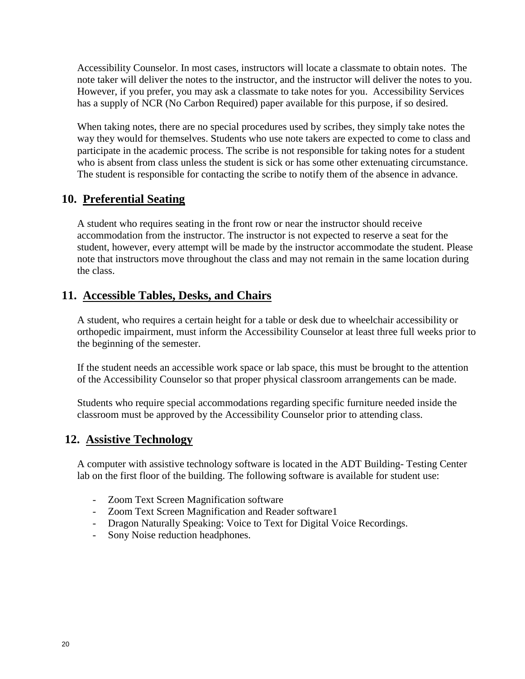Accessibility Counselor. In most cases, instructors will locate a classmate to obtain notes. The note taker will deliver the notes to the instructor, and the instructor will deliver the notes to you. However, if you prefer, you may ask a classmate to take notes for you. Accessibility Services has a supply of NCR (No Carbon Required) paper available for this purpose, if so desired.

When taking notes, there are no special procedures used by scribes, they simply take notes the way they would for themselves. Students who use note takers are expected to come to class and participate in the academic process. The scribe is not responsible for taking notes for a student who is absent from class unless the student is sick or has some other extenuating circumstance. The student is responsible for contacting the scribe to notify them of the absence in advance.

# **10. Preferential Seating**

A student who requires seating in the front row or near the instructor should receive accommodation from the instructor. The instructor is not expected to reserve a seat for the student, however, every attempt will be made by the instructor accommodate the student. Please note that instructors move throughout the class and may not remain in the same location during the class.

#### **11. Accessible Tables, Desks, and Chairs**

A student, who requires a certain height for a table or desk due to wheelchair accessibility or orthopedic impairment, must inform the Accessibility Counselor at least three full weeks prior to the beginning of the semester.

If the student needs an accessible work space or lab space, this must be brought to the attention of the Accessibility Counselor so that proper physical classroom arrangements can be made.

Students who require special accommodations regarding specific furniture needed inside the classroom must be approved by the Accessibility Counselor prior to attending class.

# **12. Assistive Technology**

A computer with assistive technology software is located in the ADT Building- Testing Center lab on the first floor of the building. The following software is available for student use:

- Zoom Text Screen Magnification software
- Zoom Text Screen Magnification and Reader software1
- Dragon Naturally Speaking: Voice to Text for Digital Voice Recordings.
- Sony Noise reduction headphones.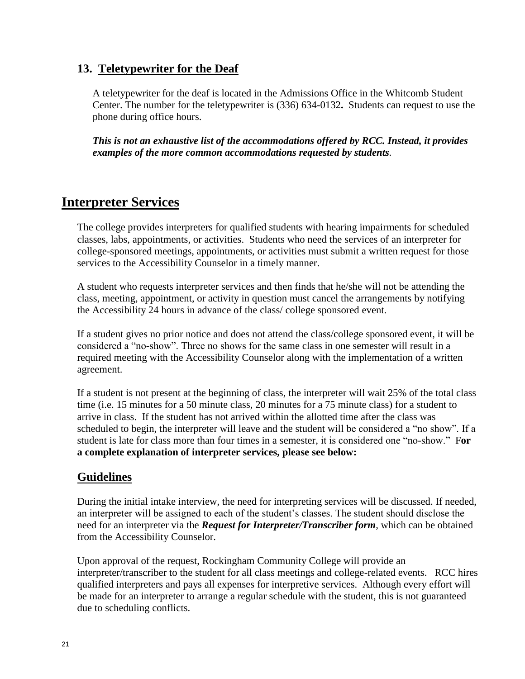#### **13. Teletypewriter for the Deaf**

A teletypewriter for the deaf is located in the Admissions Office in the Whitcomb Student Center. The number for the teletypewriter is (336) 634-0132**.** Students can request to use the phone during office hours.

*This is not an exhaustive list of the accommodations offered by RCC. Instead, it provides examples of the more common accommodations requested by students.*

# **Interpreter Services**

The college provides interpreters for qualified students with hearing impairments for scheduled classes, labs, appointments, or activities. Students who need the services of an interpreter for college-sponsored meetings, appointments, or activities must submit a written request for those services to the Accessibility Counselor in a timely manner.

A student who requests interpreter services and then finds that he/she will not be attending the class, meeting, appointment, or activity in question must cancel the arrangements by notifying the Accessibility 24 hours in advance of the class/ college sponsored event.

If a student gives no prior notice and does not attend the class/college sponsored event, it will be considered a "no-show". Three no shows for the same class in one semester will result in a required meeting with the Accessibility Counselor along with the implementation of a written agreement.

If a student is not present at the beginning of class, the interpreter will wait 25% of the total class time (i.e. 15 minutes for a 50 minute class, 20 minutes for a 75 minute class) for a student to arrive in class. If the student has not arrived within the allotted time after the class was scheduled to begin, the interpreter will leave and the student will be considered a "no show". If a student is late for class more than four times in a semester, it is considered one "no-show." F**or a complete explanation of interpreter services, please see below:**

# **Guidelines**

During the initial intake interview, the need for interpreting services will be discussed. If needed, an interpreter will be assigned to each of the student's classes. The student should disclose the need for an interpreter via the *Request for Interpreter/Transcriber form*, which can be obtained from the Accessibility Counselor.

Upon approval of the request, Rockingham Community College will provide an interpreter/transcriber to the student for all class meetings and college-related events. RCC hires qualified interpreters and pays all expenses for interpretive services. Although every effort will be made for an interpreter to arrange a regular schedule with the student, this is not guaranteed due to scheduling conflicts.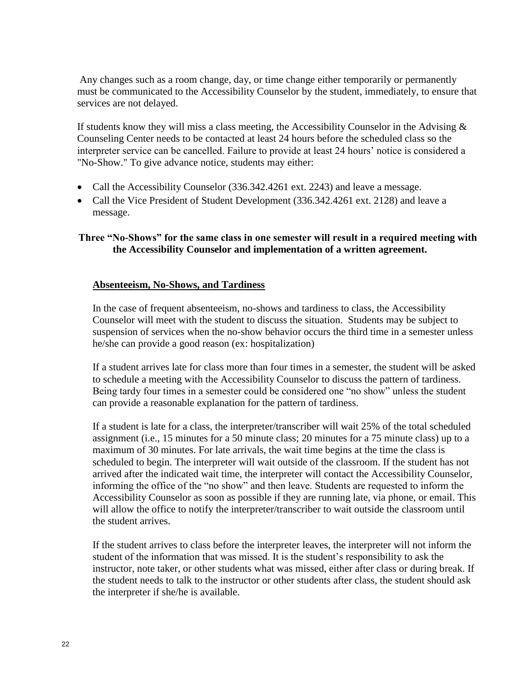Any changes such as a room change, day, or time change either temporarily or permanently must be communicated to the Accessibility Counselor by the student, immediately, to ensure that services are not delayed.

If students know they will miss a class meeting, the Accessibility Counselor in the Advising  $\&$ Counseling Center needs to be contacted at least 24 hours before the scheduled class so the interpreter service can be cancelled. Failure to provide at least 24 hours' notice is considered a "No-Show." To give advance notice, students may either:

- Call the Accessibility Counselor (336.342.4261 ext. 2243) and leave a message.
- Call the Vice President of Student Development (336.342.4261 ext. 2128) and leave a message.

#### **Three "No-Shows" for the same class in one semester will result in a required meeting with the Accessibility Counselor and implementation of a written agreement.**

#### **Absenteeism, No-Shows, and Tardiness**

In the case of frequent absenteeism, no-shows and tardiness to class, the Accessibility Counselor will meet with the student to discuss the situation. Students may be subject to suspension of services when the no-show behavior occurs the third time in a semester unless he/she can provide a good reason (ex: hospitalization)

If a student arrives late for class more than four times in a semester, the student will be asked to schedule a meeting with the Accessibility Counselor to discuss the pattern of tardiness. Being tardy four times in a semester could be considered one "no show" unless the student can provide a reasonable explanation for the pattern of tardiness.

If a student is late for a class, the interpreter/transcriber will wait 25% of the total scheduled assignment (i.e., 15 minutes for a 50 minute class; 20 minutes for a 75 minute class) up to a maximum of 30 minutes. For late arrivals, the wait time begins at the time the class is scheduled to begin. The interpreter will wait outside of the classroom. If the student has not arrived after the indicated wait time, the interpreter will contact the Accessibility Counselor, informing the office of the "no show" and then leave. Students are requested to inform the Accessibility Counselor as soon as possible if they are running late, via phone, or email. This will allow the office to notify the interpreter/transcriber to wait outside the classroom until the student arrives.

If the student arrives to class before the interpreter leaves, the interpreter will not inform the student of the information that was missed. It is the student's responsibility to ask the instructor, note taker, or other students what was missed, either after class or during break. If the student needs to talk to the instructor or other students after class, the student should ask the interpreter if she/he is available.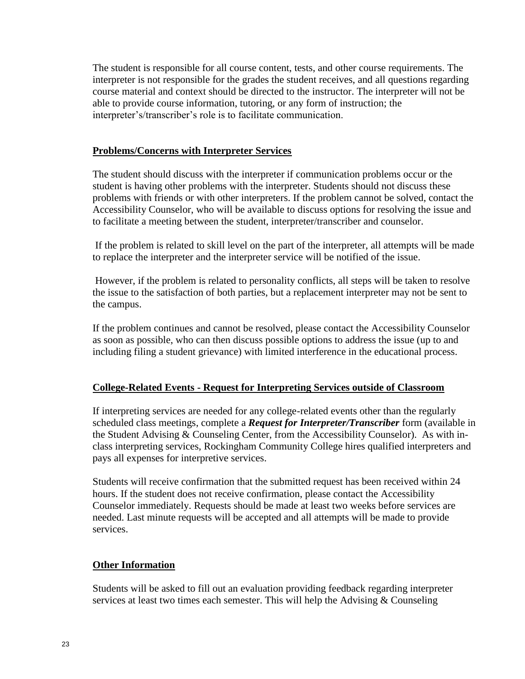The student is responsible for all course content, tests, and other course requirements. The interpreter is not responsible for the grades the student receives, and all questions regarding course material and context should be directed to the instructor. The interpreter will not be able to provide course information, tutoring, or any form of instruction; the interpreter's/transcriber's role is to facilitate communication.

#### **Problems/Concerns with Interpreter Services**

The student should discuss with the interpreter if communication problems occur or the student is having other problems with the interpreter. Students should not discuss these problems with friends or with other interpreters. If the problem cannot be solved, contact the Accessibility Counselor, who will be available to discuss options for resolving the issue and to facilitate a meeting between the student, interpreter/transcriber and counselor.

If the problem is related to skill level on the part of the interpreter, all attempts will be made to replace the interpreter and the interpreter service will be notified of the issue.

However, if the problem is related to personality conflicts, all steps will be taken to resolve the issue to the satisfaction of both parties, but a replacement interpreter may not be sent to the campus.

If the problem continues and cannot be resolved, please contact the Accessibility Counselor as soon as possible, who can then discuss possible options to address the issue (up to and including filing a student grievance) with limited interference in the educational process.

#### **College-Related Events - Request for Interpreting Services outside of Classroom**

If interpreting services are needed for any college-related events other than the regularly scheduled class meetings, complete a *Request for Interpreter/Transcriber* form (available in the Student Advising & Counseling Center, from the Accessibility Counselor). As with inclass interpreting services, Rockingham Community College hires qualified interpreters and pays all expenses for interpretive services.

Students will receive confirmation that the submitted request has been received within 24 hours. If the student does not receive confirmation, please contact the Accessibility Counselor immediately. Requests should be made at least two weeks before services are needed. Last minute requests will be accepted and all attempts will be made to provide services.

#### **Other Information**

Students will be asked to fill out an evaluation providing feedback regarding interpreter services at least two times each semester. This will help the Advising & Counseling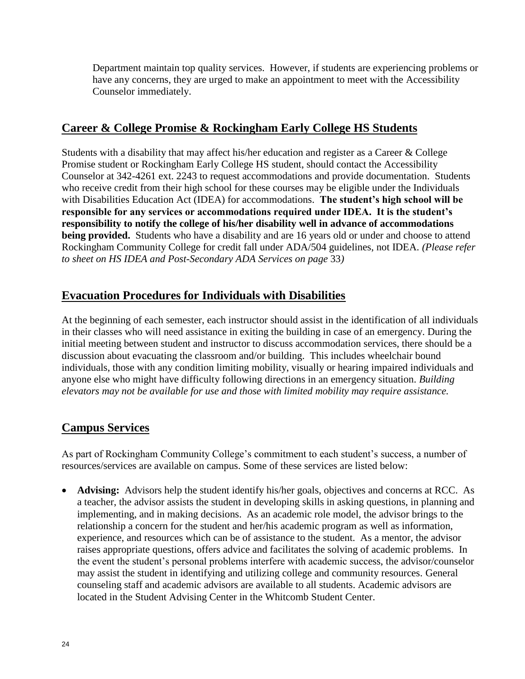Department maintain top quality services. However, if students are experiencing problems or have any concerns, they are urged to make an appointment to meet with the Accessibility Counselor immediately.

#### **Career & College Promise & Rockingham Early College HS Students**

Students with a disability that may affect his/her education and register as a Career & College Promise student or Rockingham Early College HS student, should contact the Accessibility Counselor at 342-4261 ext. 2243 to request accommodations and provide documentation. Students who receive credit from their high school for these courses may be eligible under the Individuals with Disabilities Education Act (IDEA) for accommodations. **The student's high school will be responsible for any services or accommodations required under IDEA. It is the student's responsibility to notify the college of his/her disability well in advance of accommodations being provided.** Students who have a disability and are 16 years old or under and choose to attend Rockingham Community College for credit fall under ADA/504 guidelines, not IDEA. *(Please refer to sheet on HS IDEA and Post-Secondary ADA Services on page* 33*)*

# **Evacuation Procedures for Individuals with Disabilities**

At the beginning of each semester, each instructor should assist in the identification of all individuals in their classes who will need assistance in exiting the building in case of an emergency. During the initial meeting between student and instructor to discuss accommodation services, there should be a discussion about evacuating the classroom and/or building. This includes wheelchair bound individuals, those with any condition limiting mobility, visually or hearing impaired individuals and anyone else who might have difficulty following directions in an emergency situation. *Building elevators may not be available for use and those with limited mobility may require assistance.*

# **Campus Services**

As part of Rockingham Community College's commitment to each student's success, a number of resources/services are available on campus. Some of these services are listed below:

 **Advising:** Advisors help the student identify his/her goals, objectives and concerns at RCC. As a teacher, the advisor assists the student in developing skills in asking questions, in planning and implementing, and in making decisions. As an academic role model, the advisor brings to the relationship a concern for the student and her/his academic program as well as information, experience, and resources which can be of assistance to the student. As a mentor, the advisor raises appropriate questions, offers advice and facilitates the solving of academic problems. In the event the student's personal problems interfere with academic success, the advisor/counselor may assist the student in identifying and utilizing college and community resources. General counseling staff and academic advisors are available to all students. Academic advisors are located in the Student Advising Center in the Whitcomb Student Center.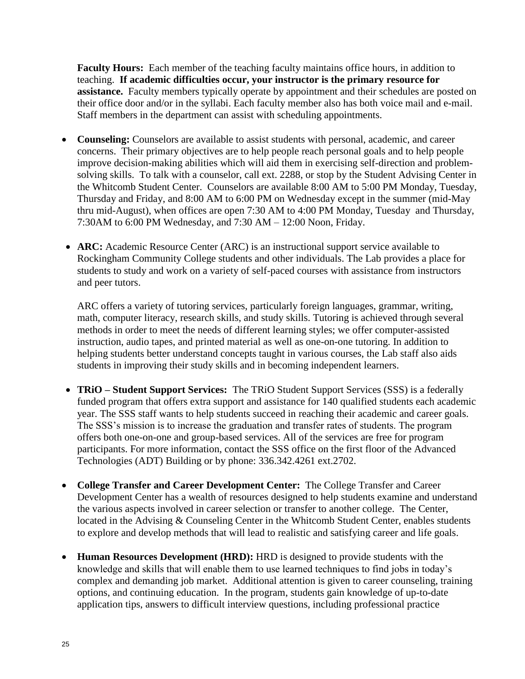**Faculty Hours:** Each member of the teaching faculty maintains office hours, in addition to teaching. **If academic difficulties occur, your instructor is the primary resource for assistance.** Faculty members typically operate by appointment and their schedules are posted on their office door and/or in the syllabi. Each faculty member also has both voice mail and e-mail. Staff members in the department can assist with scheduling appointments.

- **Counseling:** Counselors are available to assist students with personal, academic, and career concerns. Their primary objectives are to help people reach personal goals and to help people improve decision-making abilities which will aid them in exercising self-direction and problemsolving skills. To talk with a counselor, call ext. 2288, or stop by the Student Advising Center in the Whitcomb Student Center. Counselors are available 8:00 AM to 5:00 PM Monday, Tuesday, Thursday and Friday, and 8:00 AM to 6:00 PM on Wednesday except in the summer (mid-May thru mid-August), when offices are open 7:30 AM to 4:00 PM Monday, Tuesday and Thursday, 7:30AM to 6:00 PM Wednesday, and 7:30 AM – 12:00 Noon, Friday.
- **ARC:** Academic Resource Center (ARC) is an instructional support service available to Rockingham Community College students and other individuals. The Lab provides a place for students to study and work on a variety of self-paced courses with assistance from instructors and peer tutors.

ARC offers a variety of tutoring services, particularly foreign languages, grammar, writing, math, computer literacy, research skills, and study skills. Tutoring is achieved through several methods in order to meet the needs of different learning styles; we offer computer-assisted instruction, audio tapes, and printed material as well as one-on-one tutoring. In addition to helping students better understand concepts taught in various courses, the Lab staff also aids students in improving their study skills and in becoming independent learners.

- **TRiO – Student Support Services:** The TRiO Student Support Services (SSS) is a federally funded program that offers extra support and assistance for 140 qualified students each academic year. The SSS staff wants to help students succeed in reaching their academic and career goals. The SSS's mission is to increase the graduation and transfer rates of students. The program offers both one-on-one and group-based services. All of the services are free for program participants. For more information, contact the SSS office on the first floor of the Advanced Technologies (ADT) Building or by phone: 336.342.4261 ext.2702.
- **College Transfer and Career Development Center:** The College Transfer and Career Development Center has a wealth of resources designed to help students examine and understand the various aspects involved in career selection or transfer to another college. The Center, located in the Advising & Counseling Center in the Whitcomb Student Center, enables students to explore and develop methods that will lead to realistic and satisfying career and life goals.
- **Human Resources Development (HRD):** HRD is designed to provide students with the knowledge and skills that will enable them to use learned techniques to find jobs in today's complex and demanding job market. Additional attention is given to career counseling, training options, and continuing education. In the program, students gain knowledge of up-to-date application tips, answers to difficult interview questions, including professional practice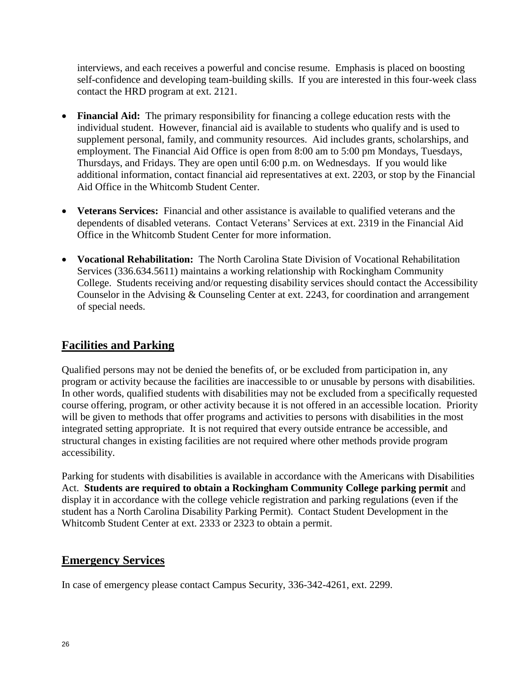interviews, and each receives a powerful and concise resume. Emphasis is placed on boosting self-confidence and developing team-building skills. If you are interested in this four-week class contact the HRD program at ext. 2121.

- **Financial Aid:** The primary responsibility for financing a college education rests with the individual student. However, financial aid is available to students who qualify and is used to supplement personal, family, and community resources. Aid includes grants, scholarships, and employment. The Financial Aid Office is open from 8:00 am to 5:00 pm Mondays, Tuesdays, Thursdays, and Fridays. They are open until 6:00 p.m. on Wednesdays. If you would like additional information, contact financial aid representatives at ext. 2203, or stop by the Financial Aid Office in the Whitcomb Student Center.
- **Veterans Services:** Financial and other assistance is available to qualified veterans and the dependents of disabled veterans. Contact Veterans' Services at ext. 2319 in the Financial Aid Office in the Whitcomb Student Center for more information.
- **Vocational Rehabilitation:** The North Carolina State Division of Vocational Rehabilitation Services (336.634.5611) maintains a working relationship with Rockingham Community College. Students receiving and/or requesting disability services should contact the Accessibility Counselor in the Advising & Counseling Center at ext. 2243, for coordination and arrangement of special needs.

# **Facilities and Parking**

Qualified persons may not be denied the benefits of, or be excluded from participation in, any program or activity because the facilities are inaccessible to or unusable by persons with disabilities. In other words, qualified students with disabilities may not be excluded from a specifically requested course offering, program, or other activity because it is not offered in an accessible location. Priority will be given to methods that offer programs and activities to persons with disabilities in the most integrated setting appropriate. It is not required that every outside entrance be accessible, and structural changes in existing facilities are not required where other methods provide program accessibility.

Parking for students with disabilities is available in accordance with the Americans with Disabilities Act. **Students are required to obtain a Rockingham Community College parking permit** and display it in accordance with the college vehicle registration and parking regulations (even if the student has a North Carolina Disability Parking Permit). Contact Student Development in the Whitcomb Student Center at ext. 2333 or 2323 to obtain a permit.

# **Emergency Services**

In case of emergency please contact Campus Security, 336-342-4261, ext. 2299.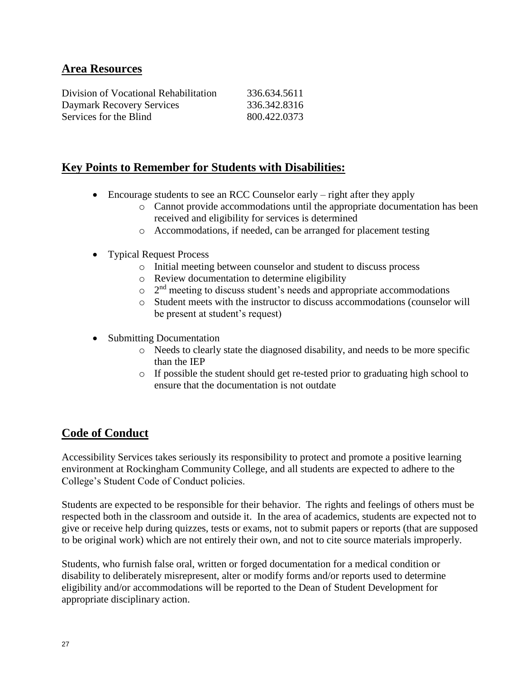#### **Area Resources**

| Division of Vocational Rehabilitation | 336.634.5611 |
|---------------------------------------|--------------|
| Daymark Recovery Services             | 336.342.8316 |
| Services for the Blind                | 800.422.0373 |

#### **Key Points to Remember for Students with Disabilities:**

- Encourage students to see an RCC Counselor early right after they apply
	- o Cannot provide accommodations until the appropriate documentation has been received and eligibility for services is determined
	- o Accommodations, if needed, can be arranged for placement testing
- Typical Request Process
	- o Initial meeting between counselor and student to discuss process
	- o Review documentation to determine eligibility
	- $\circ$   $2<sup>nd</sup>$  meeting to discuss student's needs and appropriate accommodations
	- o Student meets with the instructor to discuss accommodations (counselor will be present at student's request)
- Submitting Documentation
	- o Needs to clearly state the diagnosed disability, and needs to be more specific than the IEP
	- $\circ$  If possible the student should get re-tested prior to graduating high school to ensure that the documentation is not outdate

# **Code of Conduct**

Accessibility Services takes seriously its responsibility to protect and promote a positive learning environment at Rockingham Community College, and all students are expected to adhere to the College's Student Code of Conduct policies.

Students are expected to be responsible for their behavior. The rights and feelings of others must be respected both in the classroom and outside it. In the area of academics, students are expected not to give or receive help during quizzes, tests or exams, not to submit papers or reports (that are supposed to be original work) which are not entirely their own, and not to cite source materials improperly.

Students, who furnish false oral, written or forged documentation for a medical condition or disability to deliberately misrepresent, alter or modify forms and/or reports used to determine eligibility and/or accommodations will be reported to the Dean of Student Development for appropriate disciplinary action.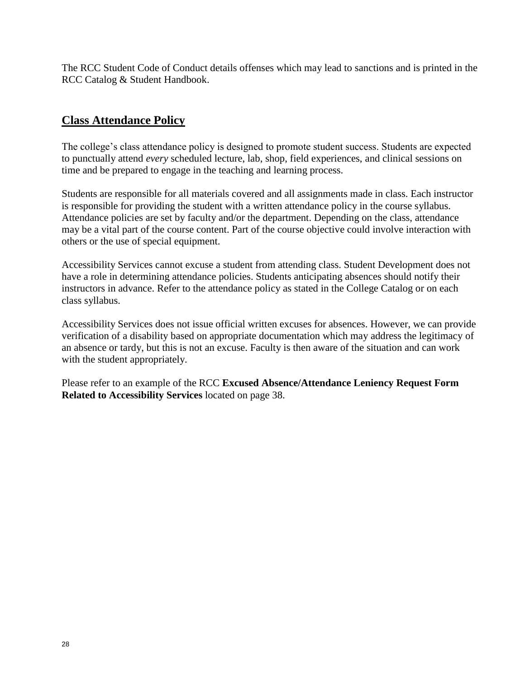The RCC Student Code of Conduct details offenses which may lead to sanctions and is printed in the RCC Catalog & Student Handbook.

#### **Class Attendance Policy**

The college's class attendance policy is designed to promote student success. Students are expected to punctually attend *every* scheduled lecture, lab, shop, field experiences, and clinical sessions on time and be prepared to engage in the teaching and learning process.

Students are responsible for all materials covered and all assignments made in class. Each instructor is responsible for providing the student with a written attendance policy in the course syllabus. Attendance policies are set by faculty and/or the department. Depending on the class, attendance may be a vital part of the course content. Part of the course objective could involve interaction with others or the use of special equipment.

Accessibility Services cannot excuse a student from attending class. Student Development does not have a role in determining attendance policies. Students anticipating absences should notify their instructors in advance. Refer to the attendance policy as stated in the College Catalog or on each class syllabus.

Accessibility Services does not issue official written excuses for absences. However, we can provide verification of a disability based on appropriate documentation which may address the legitimacy of an absence or tardy, but this is not an excuse. Faculty is then aware of the situation and can work with the student appropriately.

Please refer to an example of the RCC **Excused Absence/Attendance Leniency Request Form Related to Accessibility Services** located on page 38.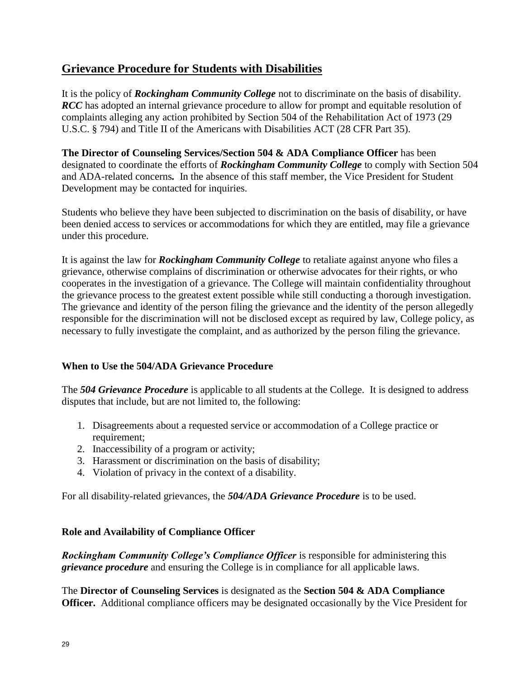# **Grievance Procedure for Students with Disabilities**

It is the policy of *Rockingham Community College* not to discriminate on the basis of disability. *RCC* has adopted an internal grievance procedure to allow for prompt and equitable resolution of complaints alleging any action prohibited by Section 504 of the Rehabilitation Act of 1973 (29 U.S.C. § 794) and Title II of the Americans with Disabilities ACT (28 CFR Part 35).

**The Director of Counseling Services/Section 504 & ADA Compliance Officer** has been designated to coordinate the efforts of *Rockingham Community College* to comply with Section 504 and ADA-related concerns*.* In the absence of this staff member, the Vice President for Student Development may be contacted for inquiries.

Students who believe they have been subjected to discrimination on the basis of disability, or have been denied access to services or accommodations for which they are entitled, may file a grievance under this procedure.

It is against the law for *Rockingham Community College* to retaliate against anyone who files a grievance, otherwise complains of discrimination or otherwise advocates for their rights, or who cooperates in the investigation of a grievance. The College will maintain confidentiality throughout the grievance process to the greatest extent possible while still conducting a thorough investigation. The grievance and identity of the person filing the grievance and the identity of the person allegedly responsible for the discrimination will not be disclosed except as required by law, College policy, as necessary to fully investigate the complaint, and as authorized by the person filing the grievance.

#### **When to Use the 504/ADA Grievance Procedure**

The *504 Grievance Procedure* is applicable to all students at the College. It is designed to address disputes that include, but are not limited to, the following:

- 1. Disagreements about a requested service or accommodation of a College practice or requirement;
- 2. Inaccessibility of a program or activity;
- 3. Harassment or discrimination on the basis of disability;
- 4. Violation of privacy in the context of a disability.

For all disability-related grievances, the *504/ADA Grievance Procedure* is to be used.

#### **Role and Availability of Compliance Officer**

*Rockingham Community College's Compliance Officer* is responsible for administering this *grievance procedure* and ensuring the College is in compliance for all applicable laws.

The **Director of Counseling Services** is designated as the **Section 504 & ADA Compliance Officer.** Additional compliance officers may be designated occasionally by the Vice President for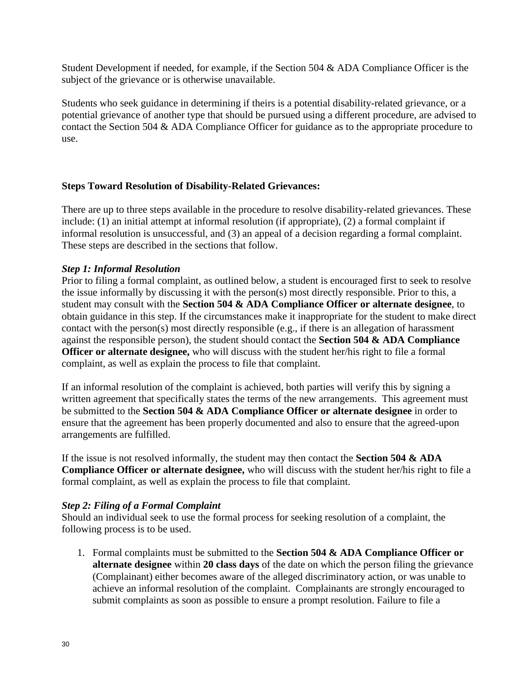Student Development if needed, for example, if the Section 504 & ADA Compliance Officer is the subject of the grievance or is otherwise unavailable.

Students who seek guidance in determining if theirs is a potential disability-related grievance, or a potential grievance of another type that should be pursued using a different procedure, are advised to contact the Section 504 & ADA Compliance Officer for guidance as to the appropriate procedure to use.

#### **Steps Toward Resolution of Disability-Related Grievances:**

There are up to three steps available in the procedure to resolve disability-related grievances. These include: (1) an initial attempt at informal resolution (if appropriate), (2) a formal complaint if informal resolution is unsuccessful, and (3) an appeal of a decision regarding a formal complaint. These steps are described in the sections that follow.

#### *Step 1: Informal Resolution*

Prior to filing a formal complaint, as outlined below, a student is encouraged first to seek to resolve the issue informally by discussing it with the person(s) most directly responsible. Prior to this, a student may consult with the **Section 504 & ADA Compliance Officer or alternate designee**, to obtain guidance in this step. If the circumstances make it inappropriate for the student to make direct contact with the person(s) most directly responsible (e.g., if there is an allegation of harassment against the responsible person), the student should contact the **Section 504 & ADA Compliance Officer or alternate designee,** who will discuss with the student her/his right to file a formal complaint, as well as explain the process to file that complaint.

If an informal resolution of the complaint is achieved, both parties will verify this by signing a written agreement that specifically states the terms of the new arrangements. This agreement must be submitted to the **Section 504 & ADA Compliance Officer or alternate designee** in order to ensure that the agreement has been properly documented and also to ensure that the agreed-upon arrangements are fulfilled.

If the issue is not resolved informally, the student may then contact the **Section 504 & ADA Compliance Officer or alternate designee,** who will discuss with the student her/his right to file a formal complaint, as well as explain the process to file that complaint.

#### *Step 2: Filing of a Formal Complaint*

Should an individual seek to use the formal process for seeking resolution of a complaint, the following process is to be used.

1. Formal complaints must be submitted to the **Section 504 & ADA Compliance Officer or alternate designee** within **20 class days** of the date on which the person filing the grievance (Complainant) either becomes aware of the alleged discriminatory action, or was unable to achieve an informal resolution of the complaint. Complainants are strongly encouraged to submit complaints as soon as possible to ensure a prompt resolution. Failure to file a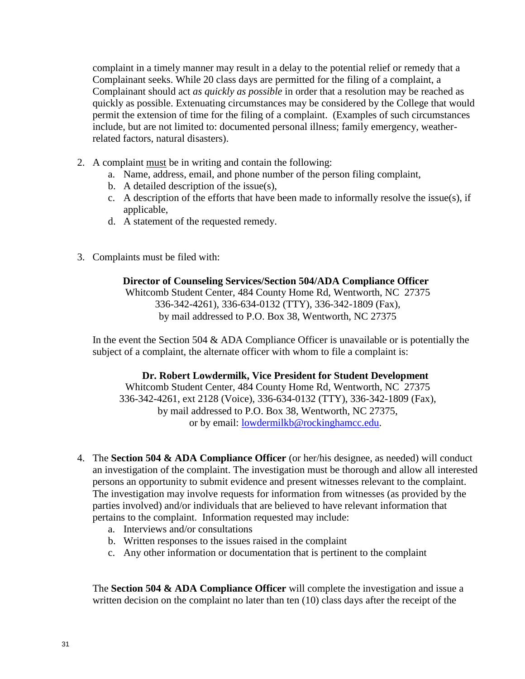complaint in a timely manner may result in a delay to the potential relief or remedy that a Complainant seeks. While 20 class days are permitted for the filing of a complaint, a Complainant should act *as quickly as possible* in order that a resolution may be reached as quickly as possible. Extenuating circumstances may be considered by the College that would permit the extension of time for the filing of a complaint. (Examples of such circumstances include, but are not limited to: documented personal illness; family emergency, weatherrelated factors, natural disasters).

- 2. A complaint must be in writing and contain the following:
	- a. Name, address, email, and phone number of the person filing complaint,
	- b. A detailed description of the issue(s),
	- c. A description of the efforts that have been made to informally resolve the issue(s), if applicable,
	- d. A statement of the requested remedy.
- 3. Complaints must be filed with:

#### **Director of Counseling Services/Section 504/ADA Compliance Officer**

Whitcomb Student Center, 484 County Home Rd, Wentworth, NC 27375 336-342-4261), 336-634-0132 (TTY), 336-342-1809 (Fax), by mail addressed to P.O. Box 38, Wentworth, NC 27375

In the event the Section 504  $&$  ADA Compliance Officer is unavailable or is potentially the subject of a complaint, the alternate officer with whom to file a complaint is:

#### **Dr. Robert Lowdermilk, Vice President for Student Development**

Whitcomb Student Center, 484 County Home Rd, Wentworth, NC 27375 336-342-4261, ext 2128 (Voice), 336-634-0132 (TTY), 336-342-1809 (Fax), by mail addressed to P.O. Box 38, Wentworth, NC 27375, or by email: [lowdermilkb@rockinghamcc.edu.](mailto:lowdermilkb@rockinghamcc.edu)

- 4. The **Section 504 & ADA Compliance Officer** (or her/his designee, as needed) will conduct an investigation of the complaint. The investigation must be thorough and allow all interested persons an opportunity to submit evidence and present witnesses relevant to the complaint. The investigation may involve requests for information from witnesses (as provided by the parties involved) and/or individuals that are believed to have relevant information that pertains to the complaint. Information requested may include:
	- a. Interviews and/or consultations
	- b. Written responses to the issues raised in the complaint
	- c. Any other information or documentation that is pertinent to the complaint

The **Section 504 & ADA Compliance Officer** will complete the investigation and issue a written decision on the complaint no later than ten (10) class days after the receipt of the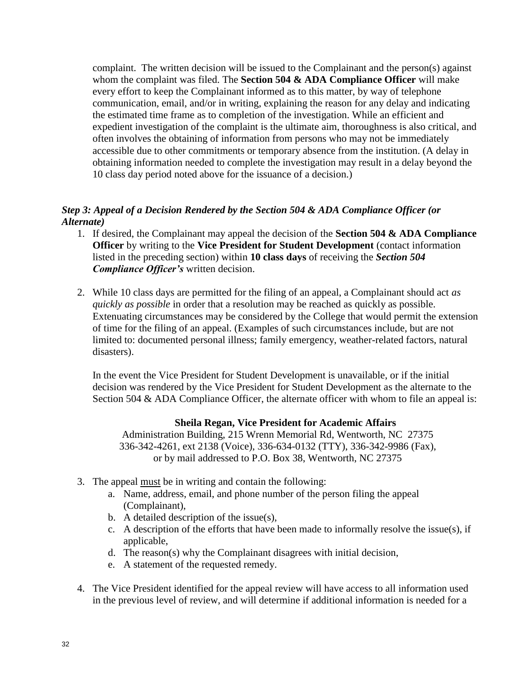complaint. The written decision will be issued to the Complainant and the person(s) against whom the complaint was filed. The **Section 504 & ADA Compliance Officer** will make every effort to keep the Complainant informed as to this matter, by way of telephone communication, email, and/or in writing, explaining the reason for any delay and indicating the estimated time frame as to completion of the investigation. While an efficient and expedient investigation of the complaint is the ultimate aim, thoroughness is also critical, and often involves the obtaining of information from persons who may not be immediately accessible due to other commitments or temporary absence from the institution. (A delay in obtaining information needed to complete the investigation may result in a delay beyond the 10 class day period noted above for the issuance of a decision.)

#### *Step 3: Appeal of a Decision Rendered by the Section 504 & ADA Compliance Officer (or Alternate)*

- 1. If desired, the Complainant may appeal the decision of the **Section 504 & ADA Compliance Officer** by writing to the **Vice President for Student Development** (contact information listed in the preceding section) within **10 class days** of receiving the *Section 504 Compliance Officer's* written decision.
- 2. While 10 class days are permitted for the filing of an appeal, a Complainant should act *as quickly as possible* in order that a resolution may be reached as quickly as possible. Extenuating circumstances may be considered by the College that would permit the extension of time for the filing of an appeal. (Examples of such circumstances include, but are not limited to: documented personal illness; family emergency, weather-related factors, natural disasters).

In the event the Vice President for Student Development is unavailable, or if the initial decision was rendered by the Vice President for Student Development as the alternate to the Section 504 & ADA Compliance Officer, the alternate officer with whom to file an appeal is:

#### **Sheila Regan, Vice President for Academic Affairs**

Administration Building, 215 Wrenn Memorial Rd, Wentworth, NC 27375 336-342-4261, ext 2138 (Voice), 336-634-0132 (TTY), 336-342-9986 (Fax), or by mail addressed to P.O. Box 38, Wentworth, NC 27375

- 3. The appeal must be in writing and contain the following:
	- a. Name, address, email, and phone number of the person filing the appeal (Complainant),
	- b. A detailed description of the issue(s),
	- c. A description of the efforts that have been made to informally resolve the issue(s), if applicable,
	- d. The reason(s) why the Complainant disagrees with initial decision,
	- e. A statement of the requested remedy.
- 4. The Vice President identified for the appeal review will have access to all information used in the previous level of review, and will determine if additional information is needed for a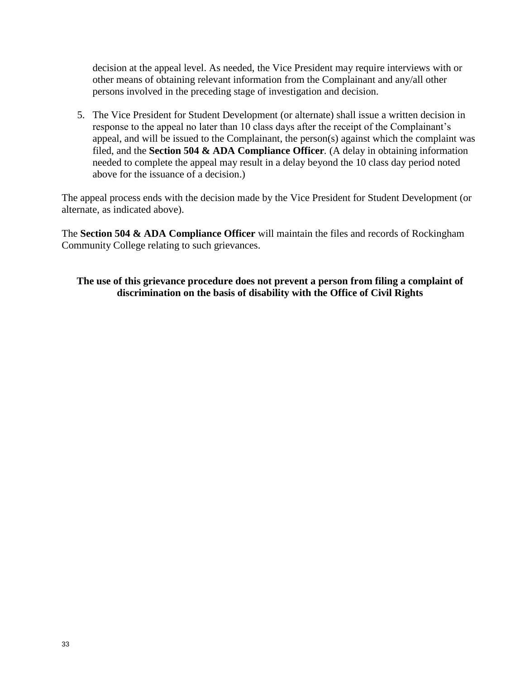decision at the appeal level. As needed, the Vice President may require interviews with or other means of obtaining relevant information from the Complainant and any/all other persons involved in the preceding stage of investigation and decision.

5. The Vice President for Student Development (or alternate) shall issue a written decision in response to the appeal no later than 10 class days after the receipt of the Complainant's appeal, and will be issued to the Complainant, the person(s) against which the complaint was filed, and the **Section 504 & ADA Compliance Officer***.* (A delay in obtaining information needed to complete the appeal may result in a delay beyond the 10 class day period noted above for the issuance of a decision.)

The appeal process ends with the decision made by the Vice President for Student Development (or alternate, as indicated above).

The **Section 504 & ADA Compliance Officer** will maintain the files and records of Rockingham Community College relating to such grievances.

#### **The use of this grievance procedure does not prevent a person from filing a complaint of discrimination on the basis of disability with the Office of Civil Rights**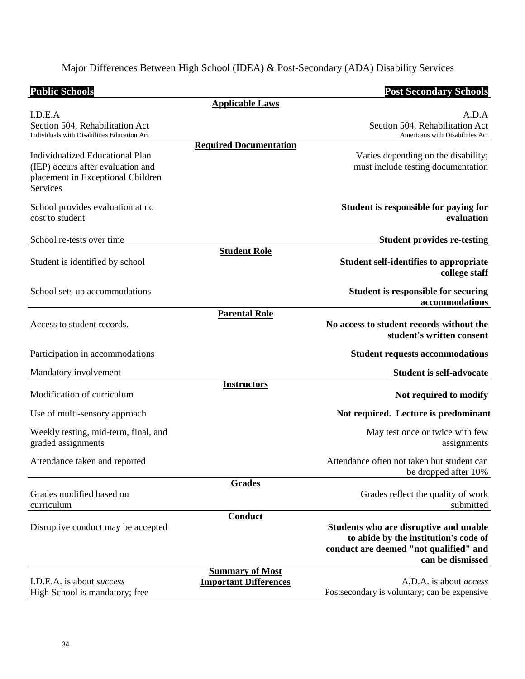Major Differences Between High School (IDEA) & Post-Secondary (ADA) Disability Services

| <b>Public Schools</b>                                                                                                        |                                                        | <b>Post Secondary Schools</b>                                                                                                                 |
|------------------------------------------------------------------------------------------------------------------------------|--------------------------------------------------------|-----------------------------------------------------------------------------------------------------------------------------------------------|
|                                                                                                                              | <b>Applicable Laws</b>                                 |                                                                                                                                               |
| I.D.E.A<br>Section 504, Rehabilitation Act<br>Individuals with Disabilities Education Act                                    |                                                        | A.D.A<br>Section 504, Rehabilitation Act<br>Americans with Disabilities Act                                                                   |
| <b>Individualized Educational Plan</b><br>(IEP) occurs after evaluation and<br>placement in Exceptional Children<br>Services | <b>Required Documentation</b>                          | Varies depending on the disability;<br>must include testing documentation                                                                     |
| School provides evaluation at no<br>cost to student                                                                          |                                                        | Student is responsible for paying for<br>evaluation                                                                                           |
| School re-tests over time                                                                                                    |                                                        | <b>Student provides re-testing</b>                                                                                                            |
| Student is identified by school                                                                                              | <b>Student Role</b>                                    | <b>Student self-identifies to appropriate</b><br>college staff                                                                                |
| School sets up accommodations                                                                                                |                                                        | <b>Student is responsible for securing</b><br>accommodations                                                                                  |
| Access to student records.                                                                                                   | <b>Parental Role</b>                                   | No access to student records without the<br>student's written consent                                                                         |
| Participation in accommodations                                                                                              |                                                        | <b>Student requests accommodations</b>                                                                                                        |
| Mandatory involvement                                                                                                        |                                                        | <b>Student is self-advocate</b>                                                                                                               |
| Modification of curriculum                                                                                                   | <b>Instructors</b>                                     | Not required to modify                                                                                                                        |
| Use of multi-sensory approach                                                                                                |                                                        | Not required. Lecture is predominant                                                                                                          |
| Weekly testing, mid-term, final, and<br>graded assignments                                                                   |                                                        | May test once or twice with few<br>assignments                                                                                                |
| Attendance taken and reported                                                                                                |                                                        | Attendance often not taken but student can<br>be dropped after 10%                                                                            |
| Grades modified based on<br>curriculum                                                                                       | <b>Grades</b>                                          | Grades reflect the quality of work<br>submitted                                                                                               |
| Disruptive conduct may be accepted                                                                                           | <b>Conduct</b>                                         | Students who are disruptive and unable<br>to abide by the institution's code of<br>conduct are deemed "not qualified" and<br>can be dismissed |
| I.D.E.A. is about <i>success</i><br>High School is mandatory; free                                                           | <b>Summary of Most</b><br><b>Important Differences</b> | A.D.A. is about <i>access</i><br>Postsecondary is voluntary; can be expensive                                                                 |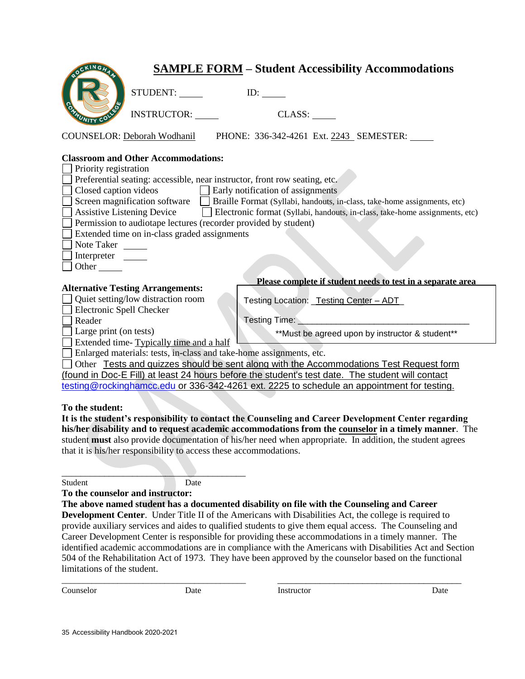| <b>SAMPLE FORM - Student Accessibility Accommodations</b>                                                                                                                                                                                                                                                                                                                                                                                                                                                                                                                                                     |  |  |  |
|---------------------------------------------------------------------------------------------------------------------------------------------------------------------------------------------------------------------------------------------------------------------------------------------------------------------------------------------------------------------------------------------------------------------------------------------------------------------------------------------------------------------------------------------------------------------------------------------------------------|--|--|--|
| STUDENT:                                                                                                                                                                                                                                                                                                                                                                                                                                                                                                                                                                                                      |  |  |  |
| <b>INSTRUCTOR:</b><br>CLASS:                                                                                                                                                                                                                                                                                                                                                                                                                                                                                                                                                                                  |  |  |  |
| PHONE: 336-342-4261 Ext. 2243 SEMESTER:<br><b>COUNSELOR: Deborah Wodhanil</b>                                                                                                                                                                                                                                                                                                                                                                                                                                                                                                                                 |  |  |  |
| <b>Classroom and Other Accommodations:</b><br>Priority registration<br>Preferential seating: accessible, near instructor, front row seating, etc.<br>Closed caption videos $\Box$ Early notification of assignments<br>Screen magnification software<br>Braille Format (Syllabi, handouts, in-class, take-home assignments, etc)<br><b>Assistive Listening Device</b><br>Electronic format (Syllabi, handouts, in-class, take-home assignments, etc)<br>Permission to audiotape lectures (recorder provided by student)<br>Extended time on in-class graded assignments<br>Note Taker<br>Interpreter<br>Other |  |  |  |
| Please complete if student needs to test in a separate area<br><b>Alternative Testing Arrangements:</b>                                                                                                                                                                                                                                                                                                                                                                                                                                                                                                       |  |  |  |
| Quiet setting/low distraction room<br>Testing Location: _Testing Center - ADT_<br>Electronic Spell Checker                                                                                                                                                                                                                                                                                                                                                                                                                                                                                                    |  |  |  |
| Testing Time: The Contract of Testing Time:<br>Reader                                                                                                                                                                                                                                                                                                                                                                                                                                                                                                                                                         |  |  |  |
| Large print (on tests)<br>**Must be agreed upon by instructor & student**                                                                                                                                                                                                                                                                                                                                                                                                                                                                                                                                     |  |  |  |
| Extended time-Typically time and a half<br>Enlarged materials: tests, in-class and take-home assignments, etc.                                                                                                                                                                                                                                                                                                                                                                                                                                                                                                |  |  |  |
| Other Tests and quizzes should be sent along with the Accommodations Test Request form                                                                                                                                                                                                                                                                                                                                                                                                                                                                                                                        |  |  |  |
| (found in Doc-E Fill) at least 24 hours before the student's test date. The student will contact                                                                                                                                                                                                                                                                                                                                                                                                                                                                                                              |  |  |  |
| testing@rockinghamcc.edu or 336-342-4261 ext. 2225 to schedule an appointment for testing.                                                                                                                                                                                                                                                                                                                                                                                                                                                                                                                    |  |  |  |
|                                                                                                                                                                                                                                                                                                                                                                                                                                                                                                                                                                                                               |  |  |  |
| To the student:                                                                                                                                                                                                                                                                                                                                                                                                                                                                                                                                                                                               |  |  |  |
| It is the student's responsibility to contact the Counseling and Career Development Center regarding                                                                                                                                                                                                                                                                                                                                                                                                                                                                                                          |  |  |  |

**his/her disability and to request academic accommodations from the counselor in a timely manner**. The student **must** also provide documentation of his/her need when appropriate. In addition, the student agrees that it is his/her responsibility to access these accommodations.

Student Date

\_\_\_\_\_\_\_\_\_\_\_\_\_\_\_\_\_\_\_\_\_\_\_\_\_\_\_\_\_\_\_\_\_\_\_\_\_\_\_

**To the counselor and instructor:** 

**The above named student has a documented disability on file with the Counseling and Career Development Center**. Under Title II of the Americans with Disabilities Act, the college is required to provide auxiliary services and aides to qualified students to give them equal access. The Counseling and Career Development Center is responsible for providing these accommodations in a timely manner. The identified academic accommodations are in compliance with the Americans with Disabilities Act and Section 504 of the Rehabilitation Act of 1973. They have been approved by the counselor based on the functional limitations of the student.

\_\_\_\_\_\_\_\_\_\_\_\_\_\_\_\_\_\_\_\_\_\_\_\_\_\_\_\_\_\_\_\_\_\_\_\_\_\_\_\_\_\_\_ \_\_\_\_\_\_\_\_\_\_\_\_\_\_\_\_\_\_\_\_\_\_\_\_\_\_\_\_\_\_\_\_\_\_\_\_\_\_\_ Counselor Date Instructor Date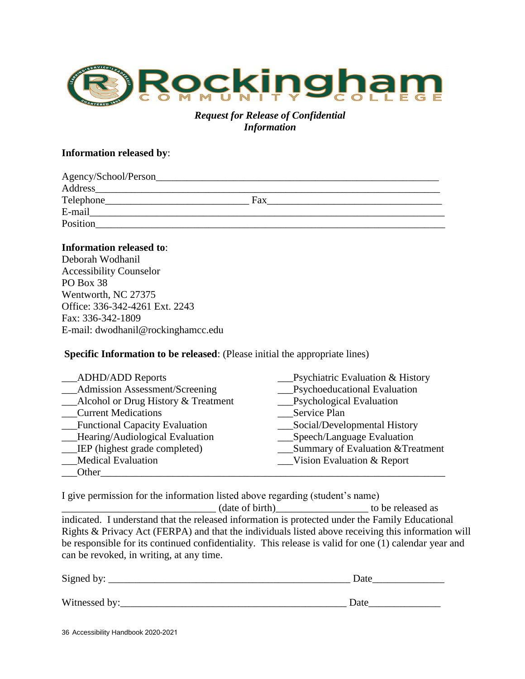

#### *Request for Release of Confidential Information*

#### **Information released by**:

| Agency/School/Person_ |     |
|-----------------------|-----|
| Address               |     |
| Telephone_            | Fax |
| E-mail                |     |
| Position              |     |

#### **Information released to**:

Deborah Wodhanil Accessibility Counselor PO Box 38 Wentworth, NC 27375 Office: 336-342-4261 Ext. 2243 Fax: 336-342-1809 E-mail: dwodhanil@rockinghamcc.edu

#### **Specific Information to be released**: (Please initial the appropriate lines)

| <b>ADHD/ADD Reports</b>             | <b>Psychiatric Evaluation &amp; History</b> |
|-------------------------------------|---------------------------------------------|
| __Admission Assessment/Screening    | Psychoeducational Evaluation                |
| Alcohol or Drug History & Treatment | __Psychological Evaluation                  |
| <b>Current Medications</b>          | Service Plan                                |
| __Functional Capacity Evaluation    | Social/Developmental History                |
| _Hearing/Audiological Evaluation    | Speech/Language Evaluation                  |
| __IEP (highest grade completed)     | Summary of Evaluation & Treatment           |
| <b>Medical Evaluation</b>           | <b>Vision Evaluation &amp; Report</b>       |
| Other                               |                                             |

I give permission for the information listed above regarding (student's name)

\_\_\_\_\_\_\_\_\_\_\_\_\_\_\_\_\_\_\_\_\_\_\_\_\_\_\_\_\_\_ (date of birth)\_\_\_\_\_\_\_\_\_\_\_\_\_\_\_\_\_\_ to be released as indicated. I understand that the released information is protected under the Family Educational Rights & Privacy Act (FERPA) and that the individuals listed above receiving this information will be responsible for its continued confidentiality. This release is valid for one (1) calendar year and can be revoked, in writing, at any time.

| Signed by:    | Date |
|---------------|------|
| Witnessed by: | Date |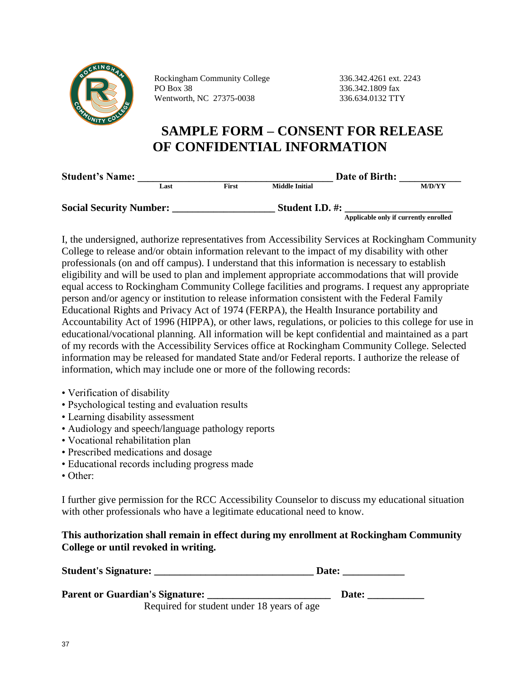

Rockingham Community College 336.342.4261 ext. 2243 PO Box 38 336.342.1809 fax Wentworth, NC 27375-0038 336.634.0132 TTY

# **SAMPLE FORM – CONSENT FOR RELEASE OF CONFIDENTIAL INFORMATION**

| <b>Student's Name:</b>         |      |              | Date of Birth:        |                                       |  |
|--------------------------------|------|--------------|-----------------------|---------------------------------------|--|
|                                | Last | <b>First</b> | <b>Middle Initial</b> | <b>M/D/YY</b>                         |  |
| <b>Social Security Number:</b> |      |              | Student I.D. #:       |                                       |  |
|                                |      |              |                       | Applicable only if currently enrolled |  |

I, the undersigned, authorize representatives from Accessibility Services at Rockingham Community College to release and/or obtain information relevant to the impact of my disability with other professionals (on and off campus). I understand that this information is necessary to establish eligibility and will be used to plan and implement appropriate accommodations that will provide equal access to Rockingham Community College facilities and programs. I request any appropriate person and/or agency or institution to release information consistent with the Federal Family Educational Rights and Privacy Act of 1974 (FERPA), the Health Insurance portability and Accountability Act of 1996 (HIPPA), or other laws, regulations, or policies to this college for use in educational/vocational planning. All information will be kept confidential and maintained as a part of my records with the Accessibility Services office at Rockingham Community College. Selected information may be released for mandated State and/or Federal reports. I authorize the release of information, which may include one or more of the following records:

- Verification of disability
- Psychological testing and evaluation results
- Learning disability assessment
- Audiology and speech/language pathology reports
- Vocational rehabilitation plan
- Prescribed medications and dosage
- Educational records including progress made
- Other:

I further give permission for the RCC Accessibility Counselor to discuss my educational situation with other professionals who have a legitimate educational need to know.

#### **This authorization shall remain in effect during my enrollment at Rockingham Community College or until revoked in writing.**

| <b>Student's Signature:</b>            | Date: |
|----------------------------------------|-------|
| <b>Parent or Guardian's Signature:</b> | Date: |

Required for student under 18 years of age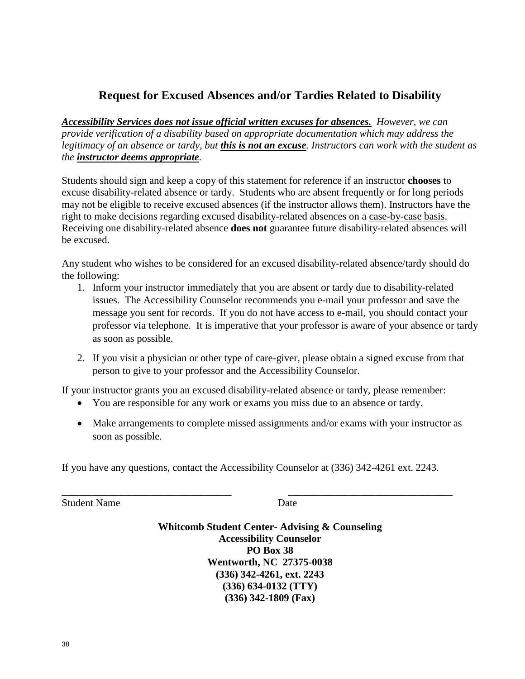# **Request for Excused Absences and/or Tardies Related to Disability**

*Accessibility Services does not issue official written excuses for absences. However, we can provide verification of a disability based on appropriate documentation which may address the legitimacy of an absence or tardy, but this is not an excuse. Instructors can work with the student as the instructor deems appropriate.*

Students should sign and keep a copy of this statement for reference if an instructor **chooses** to excuse disability-related absence or tardy. Students who are absent frequently or for long periods may not be eligible to receive excused absences (if the instructor allows them). Instructors have the right to make decisions regarding excused disability-related absences on a case-by-case basis. Receiving one disability-related absence **does not** guarantee future disability-related absences will be excused.

Any student who wishes to be considered for an excused disability-related absence/tardy should do the following:

- 1. Inform your instructor immediately that you are absent or tardy due to disability-related issues. The Accessibility Counselor recommends you e-mail your professor and save the message you sent for records. If you do not have access to e-mail, you should contact your professor via telephone. It is imperative that your professor is aware of your absence or tardy as soon as possible.
- 2. If you visit a physician or other type of care-giver, please obtain a signed excuse from that person to give to your professor and the Accessibility Counselor.

If your instructor grants you an excused disability-related absence or tardy, please remember:

- You are responsible for any work or exams you miss due to an absence or tardy.
- Make arrangements to complete missed assignments and/or exams with your instructor as soon as possible.

If you have any questions, contact the Accessibility Counselor at (336) 342-4261 ext. 2243.

\_\_\_\_\_\_\_\_\_\_\_\_\_\_\_\_\_\_\_\_\_\_\_\_\_\_\_\_\_\_\_\_\_ \_\_\_\_\_\_\_\_\_\_\_\_\_\_\_\_\_\_\_\_\_\_\_\_\_\_\_\_\_\_\_\_

Student Name Date

**Whitcomb Student Center- Advising & Counseling Accessibility Counselor PO Box 38 Wentworth, NC 27375-0038 (336) 342-4261, ext. 2243 (336) 634-0132 (TTY) (336) 342-1809 (Fax)**